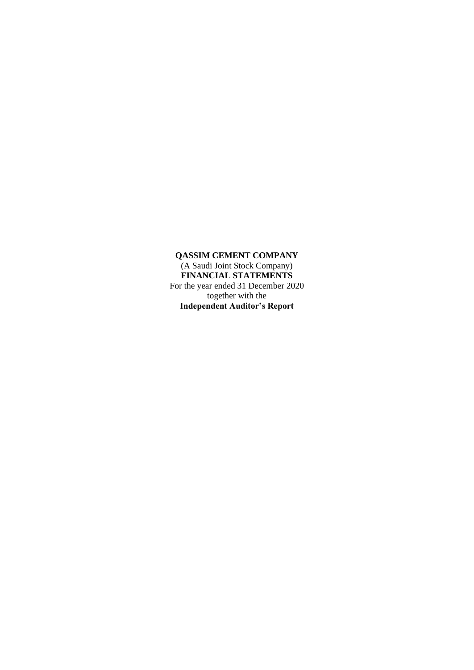(A Saudi Joint Stock Company) **FINANCIAL STATEMENTS** For the year ended 31 December 2020 together with the **Independent Auditor's Report**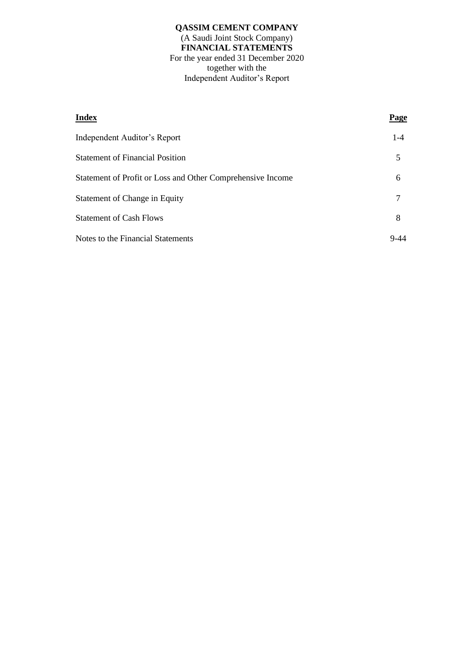# **QASSIM CEMENT COMPANY**  (A Saudi Joint Stock Company) **FINANCIAL STATEMENTS** For the year ended 31 December 2020 together with the Independent Auditor's Report

| Index                                                      | Page    |
|------------------------------------------------------------|---------|
| Independent Auditor's Report                               | $1 - 4$ |
| <b>Statement of Financial Position</b>                     | 5       |
| Statement of Profit or Loss and Other Comprehensive Income | 6       |
| <b>Statement of Change in Equity</b>                       | 7       |
| <b>Statement of Cash Flows</b>                             | 8       |
| Notes to the Financial Statements                          | $9-44$  |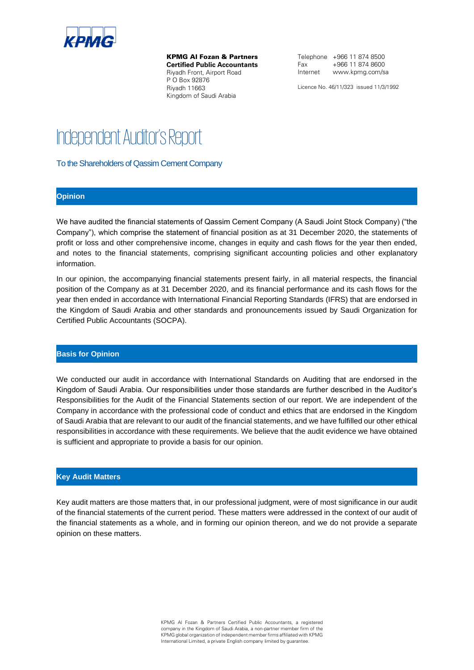

KPMG Al Fozan & Partners **Certified Public Accountants** Riyadh Front, Airport Road P O Box 92876 Riyadh 11663 Kingdom of Saudi Arabia

Telephone +966 11 874 8500 Fax +966 11 874 8600 Internet www.kpmg.com/sa

Licence No. 46/11/323 issued 11/3/1992

# Independent Auditor's Report

To the Shareholders of Qassim Cement Company

#### **Opinion**

We have audited the financial statements of Qassim Cement Company (A Saudi Joint Stock Company) ("the Company"), which comprise the statement of financial position as at 31 December 2020, the statements of profit or loss and other comprehensive income, changes in equity and cash flows for the year then ended, and notes to the financial statements, comprising significant accounting policies and other explanatory information.

In our opinion, the accompanying financial statements present fairly, in all material respects, the financial position of the Company as at 31 December 2020, and its financial performance and its cash flows for the year then ended in accordance with International Financial Reporting Standards (IFRS) that are endorsed in the Kingdom of Saudi Arabia and other standards and pronouncements issued by Saudi Organization for Certified Public Accountants (SOCPA).

#### **Basis for Opinion**

We conducted our audit in accordance with International Standards on Auditing that are endorsed in the Kingdom of Saudi Arabia. Our responsibilities under those standards are further described in the Auditor's Responsibilities for the Audit of the Financial Statements section of our report. We are independent of the Company in accordance with the professional code of conduct and ethics that are endorsed in the Kingdom of Saudi Arabia that are relevant to our audit of the financial statements, and we have fulfilled our other ethical responsibilities in accordance with these requirements. We believe that the audit evidence we have obtained is sufficient and appropriate to provide a basis for our opinion.

#### **Key Audit Matters**

Key audit matters are those matters that, in our professional judgment, were of most significance in our audit of the financial statements of the current period. These matters were addressed in the context of our audit of the financial statements as a whole, and in forming our opinion thereon, and we do not provide a separate opinion on these matters.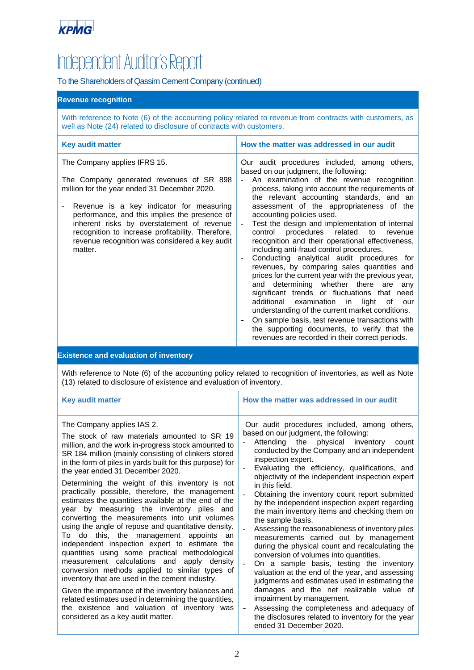

# Independent Auditor's Report

# To the Shareholders of Qassim Cement Company (continued)

| <b>Revenue recognition</b>                                                                                                                                                                                                                                                                                                                                                            |                                                                                                                                                                                                                                                                                                                                                                                                                                                                                                                                                                                                                                                                                                                                                                                                                                                                                                                                                                                                                                             |
|---------------------------------------------------------------------------------------------------------------------------------------------------------------------------------------------------------------------------------------------------------------------------------------------------------------------------------------------------------------------------------------|---------------------------------------------------------------------------------------------------------------------------------------------------------------------------------------------------------------------------------------------------------------------------------------------------------------------------------------------------------------------------------------------------------------------------------------------------------------------------------------------------------------------------------------------------------------------------------------------------------------------------------------------------------------------------------------------------------------------------------------------------------------------------------------------------------------------------------------------------------------------------------------------------------------------------------------------------------------------------------------------------------------------------------------------|
| well as Note (24) related to disclosure of contracts with customers.                                                                                                                                                                                                                                                                                                                  | With reference to Note (6) of the accounting policy related to revenue from contracts with customers, as                                                                                                                                                                                                                                                                                                                                                                                                                                                                                                                                                                                                                                                                                                                                                                                                                                                                                                                                    |
| <b>Key audit matter</b>                                                                                                                                                                                                                                                                                                                                                               | How the matter was addressed in our audit                                                                                                                                                                                                                                                                                                                                                                                                                                                                                                                                                                                                                                                                                                                                                                                                                                                                                                                                                                                                   |
| The Company applies IFRS 15.<br>The Company generated revenues of SR 898<br>million for the year ended 31 December 2020.<br>Revenue is a key indicator for measuring<br>performance, and this implies the presence of<br>inherent risks by overstatement of revenue<br>recognition to increase profitability. Therefore,<br>revenue recognition was considered a key audit<br>matter. | Our audit procedures included, among others,<br>based on our judgment, the following:<br>An examination of the revenue recognition<br>process, taking into account the requirements of<br>the relevant accounting standards, and an<br>assessment of the appropriateness of the<br>accounting policies used.<br>Test the design and implementation of internal<br>procedures<br>related<br>control<br>to<br>revenue<br>recognition and their operational effectiveness,<br>including anti-fraud control procedures.<br>Conducting analytical audit procedures for<br>revenues, by comparing sales quantities and<br>prices for the current year with the previous year,<br>determining whether there<br>are<br>and<br>any<br>significant trends or fluctuations that need<br>additional<br>examination<br>light<br>in<br>οf<br>our<br>understanding of the current market conditions.<br>On sample basis, test revenue transactions with<br>the supporting documents, to verify that the<br>revenues are recorded in their correct periods. |

# **Existence and evaluation of inventory**

With reference to Note (6) of the accounting policy related to recognition of inventories, as well as Note (13) related to disclosure of existence and evaluation of inventory.

| <b>Key audit matter</b>                                                                                                                                                                                                                                                                                                                                                                                                                                                                                                                                                                                                                                                                                                                                                                                                                                                                                                                                                                                                                                                                                              | How the matter was addressed in our audit                                                                                                                                                                                                                                                                                                                                                                                                                                                                                                                                                                                                                                                                                                                                                                                                                                                                                                                                                                                                                  |
|----------------------------------------------------------------------------------------------------------------------------------------------------------------------------------------------------------------------------------------------------------------------------------------------------------------------------------------------------------------------------------------------------------------------------------------------------------------------------------------------------------------------------------------------------------------------------------------------------------------------------------------------------------------------------------------------------------------------------------------------------------------------------------------------------------------------------------------------------------------------------------------------------------------------------------------------------------------------------------------------------------------------------------------------------------------------------------------------------------------------|------------------------------------------------------------------------------------------------------------------------------------------------------------------------------------------------------------------------------------------------------------------------------------------------------------------------------------------------------------------------------------------------------------------------------------------------------------------------------------------------------------------------------------------------------------------------------------------------------------------------------------------------------------------------------------------------------------------------------------------------------------------------------------------------------------------------------------------------------------------------------------------------------------------------------------------------------------------------------------------------------------------------------------------------------------|
| The Company applies IAS 2.<br>The stock of raw materials amounted to SR 19<br>million, and the work in-progress stock amounted to<br>SR 184 million (mainly consisting of clinkers stored<br>in the form of piles in yards built for this purpose) for<br>the year ended 31 December 2020.<br>Determining the weight of this inventory is not<br>practically possible, therefore, the management<br>estimates the quantities available at the end of the<br>year by measuring the inventory piles and<br>converting the measurements into unit volumes<br>using the angle of repose and quantitative density.<br>To do this, the management appoints<br>an<br>independent inspection expert to estimate the<br>quantities using some practical methodological<br>measurement calculations and apply density<br>conversion methods applied to similar types of<br>inventory that are used in the cement industry.<br>Given the importance of the inventory balances and<br>related estimates used in determining the quantities,<br>the existence and valuation of inventory was<br>considered as a key audit matter. | Our audit procedures included, among others,<br>based on our judgment, the following:<br>Attending the physical inventory<br>count<br>conducted by the Company and an independent<br>inspection expert.<br>Evaluating the efficiency, qualifications, and<br>objectivity of the independent inspection expert<br>in this field.<br>Obtaining the inventory count report submitted<br>by the independent inspection expert regarding<br>the main inventory items and checking them on<br>the sample basis.<br>Assessing the reasonableness of inventory piles<br>measurements carried out by management<br>during the physical count and recalculating the<br>conversion of volumes into quantities.<br>On a sample basis, testing the inventory<br>valuation at the end of the year, and assessing<br>judgments and estimates used in estimating the<br>damages and the net realizable value of<br>impairment by management.<br>Assessing the completeness and adequacy of<br>the disclosures related to inventory for the year<br>ended 31 December 2020. |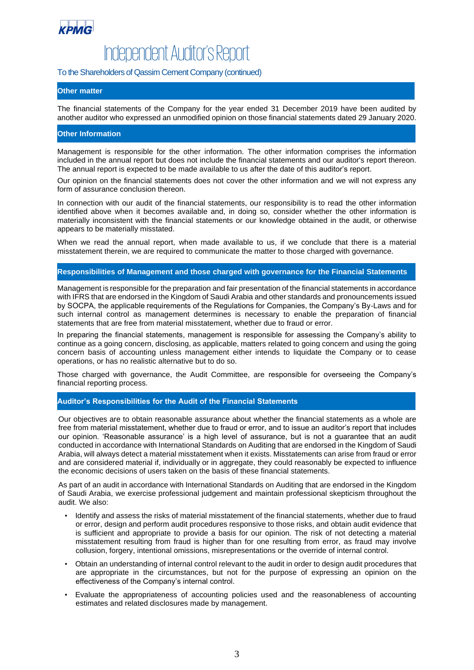

# Independent Auditor's Report

#### To the Shareholders of Qassim Cement Company (continued)

#### **Other matter**

The financial statements of the Company for the year ended 31 December 2019 have been audited by another auditor who expressed an unmodified opinion on those financial statements dated 29 January 2020.

#### **Other Information**

Management is responsible for the other information. The other information comprises the information included in the annual report but does not include the financial statements and our auditor's report thereon. The annual report is expected to be made available to us after the date of this auditor's report.

Our opinion on the financial statements does not cover the other information and we will not express any form of assurance conclusion thereon.

In connection with our audit of the financial statements, our responsibility is to read the other information identified above when it becomes available and, in doing so, consider whether the other information is materially inconsistent with the financial statements or our knowledge obtained in the audit, or otherwise appears to be materially misstated.

When we read the annual report, when made available to us, if we conclude that there is a material misstatement therein, we are required to communicate the matter to those charged with governance.

#### **Responsibilities of Management and those charged with governance for the Financial Statements**

Management is responsible for the preparation and fair presentation of the financial statements in accordance with IFRS that are endorsed in the Kingdom of Saudi Arabia and other standards and pronouncements issued by SOCPA, the applicable requirements of the Regulations for Companies, the Company's By-Laws and for such internal control as management determines is necessary to enable the preparation of financial statements that are free from material misstatement, whether due to fraud or error.

In preparing the financial statements, management is responsible for assessing the Company's ability to continue as a going concern, disclosing, as applicable, matters related to going concern and using the going concern basis of accounting unless management either intends to liquidate the Company or to cease operations, or has no realistic alternative but to do so.

Those charged with governance, the Audit Committee, are responsible for overseeing the Company's financial reporting process.

#### **Auditor's Responsibilities for the Audit of the Financial Statements**

Our objectives are to obtain reasonable assurance about whether the financial statements as a whole are free from material misstatement, whether due to fraud or error, and to issue an auditor's report that includes our opinion. 'Reasonable assurance' is a high level of assurance, but is not a guarantee that an audit conducted in accordance with International Standards on Auditing that are endorsed in the Kingdom of Saudi Arabia, will always detect a material misstatement when it exists. Misstatements can arise from fraud or error and are considered material if, individually or in aggregate, they could reasonably be expected to influence the economic decisions of users taken on the basis of these financial statements.

As part of an audit in accordance with International Standards on Auditing that are endorsed in the Kingdom of Saudi Arabia, we exercise professional judgement and maintain professional skepticism throughout the audit. We also:

- Identify and assess the risks of material misstatement of the financial statements, whether due to fraud or error, design and perform audit procedures responsive to those risks, and obtain audit evidence that is sufficient and appropriate to provide a basis for our opinion. The risk of not detecting a material misstatement resulting from fraud is higher than for one resulting from error, as fraud may involve collusion, forgery, intentional omissions, misrepresentations or the override of internal control.
- Obtain an understanding of internal control relevant to the audit in order to design audit procedures that are appropriate in the circumstances, but not for the purpose of expressing an opinion on the effectiveness of the Company's internal control.
- Evaluate the appropriateness of accounting policies used and the reasonableness of accounting estimates and related disclosures made by management.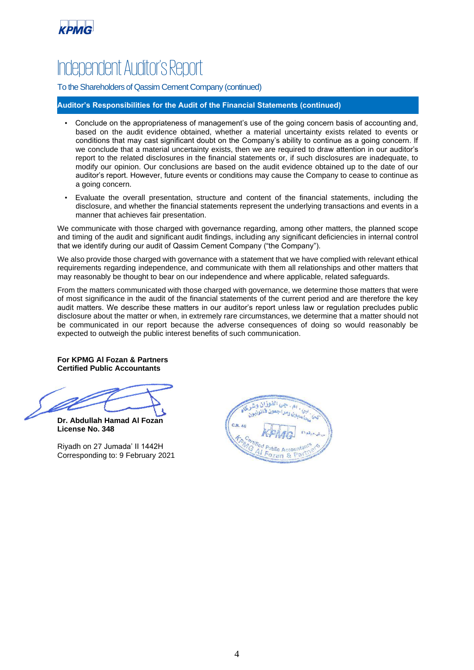

# Independent Auditor's Report

To the Shareholders of Qassim Cement Company (continued)

#### **Auditor's Responsibilities for the Audit of the Financial Statements (continued)**

- Conclude on the appropriateness of management's use of the going concern basis of accounting and, based on the audit evidence obtained, whether a material uncertainty exists related to events or conditions that may cast significant doubt on the Company's ability to continue as a going concern. If we conclude that a material uncertainty exists, then we are required to draw attention in our auditor's report to the related disclosures in the financial statements or, if such disclosures are inadequate, to modify our opinion. Our conclusions are based on the audit evidence obtained up to the date of our auditor's report. However, future events or conditions may cause the Company to cease to continue as a going concern.
- Evaluate the overall presentation, structure and content of the financial statements, including the disclosure, and whether the financial statements represent the underlying transactions and events in a manner that achieves fair presentation.

We communicate with those charged with governance regarding, among other matters, the planned scope and timing of the audit and significant audit findings, including any significant deficiencies in internal control that we identify during our audit of Qassim Cement Company ("the Company").

We also provide those charged with governance with a statement that we have complied with relevant ethical requirements regarding independence, and communicate with them all relationships and other matters that may reasonably be thought to bear on our independence and where applicable, related safeguards.

From the matters communicated with those charged with governance, we determine those matters that were of most significance in the audit of the financial statements of the current period and are therefore the key audit matters. We describe these matters in our auditor's report unless law or regulation precludes public disclosure about the matter or when, in extremely rare circumstances, we determine that a matter should not be communicated in our report because the adverse consequences of doing so would reasonably be expected to outweigh the public interest benefits of such communication.

#### **For KPMG Al Fozan & Partners Certified Public Accountants**

**Dr. Abdullah Hamad Al Fozan License No. 348**

Riyadh on 27 Jumada' II 1442H Corresponding to: 9 February 2021

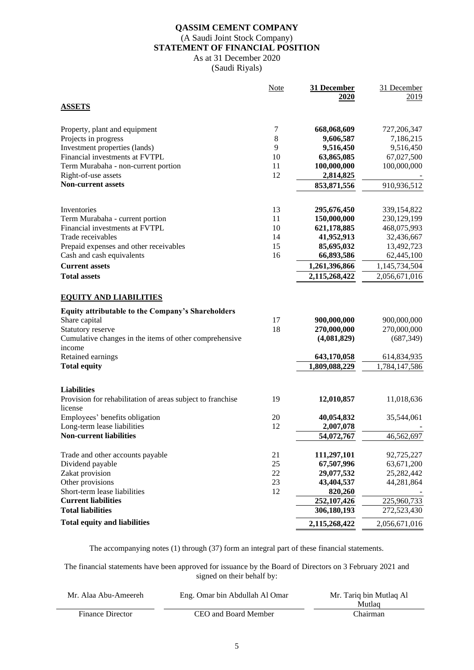# **QASSIM CEMENT COMPANY** (A Saudi Joint Stock Company) **STATEMENT OF FINANCIAL POSITION** As at 31 December 2020

(Saudi Riyals)

|                                                                  | Note     | 31 December   | 31 December   |
|------------------------------------------------------------------|----------|---------------|---------------|
|                                                                  |          | 2020          | 2019          |
| <b>ASSETS</b>                                                    |          |               |               |
| Property, plant and equipment                                    | 7        | 668,068,609   | 727,206,347   |
| Projects in progress                                             | 8        | 9,606,587     | 7,186,215     |
| Investment properties (lands)                                    | 9        | 9,516,450     | 9,516,450     |
| Financial investments at FVTPL                                   | 10       | 63,865,085    | 67,027,500    |
| Term Murabaha - non-current portion                              | 11       | 100,000,000   | 100,000,000   |
| Right-of-use assets                                              | 12       | 2,814,825     |               |
| <b>Non-current assets</b>                                        |          | 853, 871, 556 | 910,936,512   |
| Inventories                                                      | 13       | 295,676,450   | 339,154,822   |
| Term Murabaha - current portion                                  | 11       | 150,000,000   | 230,129,199   |
| Financial investments at FVTPL                                   | 10       | 621,178,885   | 468,075,993   |
| Trade receivables                                                | 14       | 41,952,913    | 32,436,667    |
| Prepaid expenses and other receivables                           | 15       | 85,695,032    | 13,492,723    |
| Cash and cash equivalents                                        | 16       | 66,893,586    | 62,445,100    |
| <b>Current assets</b>                                            |          | 1,261,396,866 |               |
|                                                                  |          |               | 1,145,734,504 |
| <b>Total assets</b>                                              |          | 2,115,268,422 | 2,056,671,016 |
| <b>EQUITY AND LIABILITIES</b>                                    |          |               |               |
| <b>Equity attributable to the Company's Shareholders</b>         |          |               |               |
| Share capital                                                    | 17<br>18 | 900,000,000   | 900,000,000   |
| Statutory reserve                                                |          | 270,000,000   | 270,000,000   |
| Cumulative changes in the items of other comprehensive<br>income |          | (4,081,829)   | (687, 349)    |
| Retained earnings                                                |          | 643,170,058   | 614,834,935   |
| <b>Total equity</b>                                              |          | 1,809,088,229 | 1,784,147,586 |
| <b>Liabilities</b>                                               |          |               |               |
| Provision for rehabilitation of areas subject to franchise       | 19       | 12,010,857    | 11,018,636    |
| license<br>Employees' benefits obligation                        | 20       | 40,054,832    | 35,544,061    |
| Long-term lease liabilities                                      | 12       | 2,007,078     |               |
| <b>Non-current liabilities</b>                                   |          | 54,072,767    | 46,562,697    |
| Trade and other accounts payable                                 | 21       | 111,297,101   | 92,725,227    |
| Dividend payable                                                 | 25       | 67,507,996    | 63,671,200    |
| Zakat provision                                                  | 22       | 29,077,532    | 25,282,442    |
| Other provisions                                                 | 23       | 43,404,537    | 44,281,864    |
| Short-term lease liabilities                                     | 12       | 820,260       |               |
| <b>Current liabilities</b>                                       |          | 252,107,426   | 225,960,733   |
| <b>Total liabilities</b>                                         |          | 306,180,193   | 272,523,430   |
| <b>Total equity and liabilities</b>                              |          | 2,115,268,422 | 2,056,671,016 |

The accompanying notes (1) through (37) form an integral part of these financial statements.

The financial statements have been approved for issuance by the Board of Directors on 3 February 2021 and signed on their behalf by:

| Mr. Alaa Abu-Ameereh    | Eng. Omar bin Abdullah Al Omar |          |
|-------------------------|--------------------------------|----------|
|                         |                                | Mutlag   |
| <b>Finance Director</b> | CEO and Board Member           | Chairman |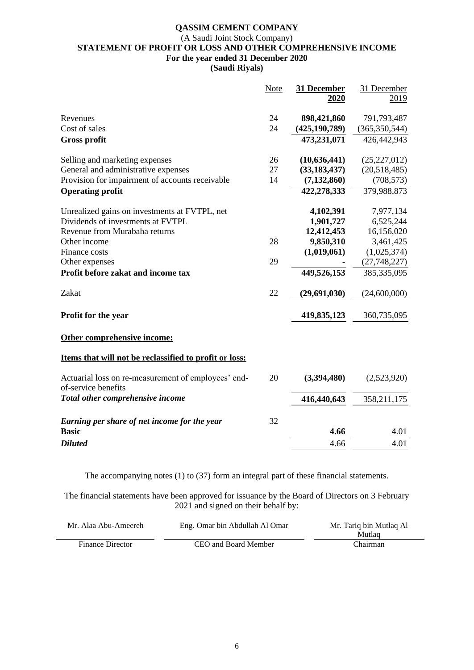(A Saudi Joint Stock Company)

# **STATEMENT OF PROFIT OR LOSS AND OTHER COMPREHENSIVE INCOME**

**For the year ended 31 December 2020**

**(Saudi Riyals)**

|                                                                            | Note | 31 December     | 31 December     |
|----------------------------------------------------------------------------|------|-----------------|-----------------|
|                                                                            |      | 2020            | 2019            |
| Revenues                                                                   | 24   | 898,421,860     | 791,793,487     |
| Cost of sales                                                              | 24   | (425, 190, 789) | (365, 350, 544) |
| <b>Gross profit</b>                                                        |      | 473,231,071     | 426,442,943     |
| Selling and marketing expenses                                             | 26   | (10, 636, 441)  | (25, 227, 012)  |
| General and administrative expenses                                        | 27   | (33, 183, 437)  | (20,518,485)    |
| Provision for impairment of accounts receivable                            | 14   | (7, 132, 860)   | (708, 573)      |
| <b>Operating profit</b>                                                    |      | 422,278,333     | 379,988,873     |
| Unrealized gains on investments at FVTPL, net                              |      | 4,102,391       | 7,977,134       |
| Dividends of investments at FVTPL                                          |      | 1,901,727       | 6,525,244       |
| Revenue from Murabaha returns                                              |      | 12,412,453      | 16,156,020      |
| Other income                                                               | 28   | 9,850,310       | 3,461,425       |
| Finance costs                                                              |      | (1,019,061)     | (1,025,374)     |
| Other expenses                                                             | 29   |                 | (27, 748, 227)  |
| Profit before zakat and income tax                                         |      | 449,526,153     | 385, 335, 095   |
| Zakat                                                                      | 22   | (29,691,030)    | (24,600,000)    |
| Profit for the year                                                        |      | 419,835,123     | 360,735,095     |
| Other comprehensive income:                                                |      |                 |                 |
| Items that will not be reclassified to profit or loss:                     |      |                 |                 |
| Actuarial loss on re-measurement of employees' end-<br>of-service benefits | 20   | (3,394,480)     | (2,523,920)     |
| Total other comprehensive income                                           |      | 416,440,643     | 358, 211, 175   |
| Earning per share of net income for the year                               | 32   |                 |                 |
| <b>Basic</b>                                                               |      | 4.66            | 4.01            |
| <b>Diluted</b>                                                             |      | 4.66            | 4.01            |
|                                                                            |      |                 |                 |

The accompanying notes (1) to (37) form an integral part of these financial statements.

The financial statements have been approved for issuance by the Board of Directors on 3 February 2021 and signed on their behalf by:

| Mr. Alaa Abu-Ameereh | Eng. Omar bin Abdullah Al Omar | Mr. Tariq bin Mutlaq Al<br>Mutlaɑ |
|----------------------|--------------------------------|-----------------------------------|
| Finance Director     | CEO and Board Member           | Chairman                          |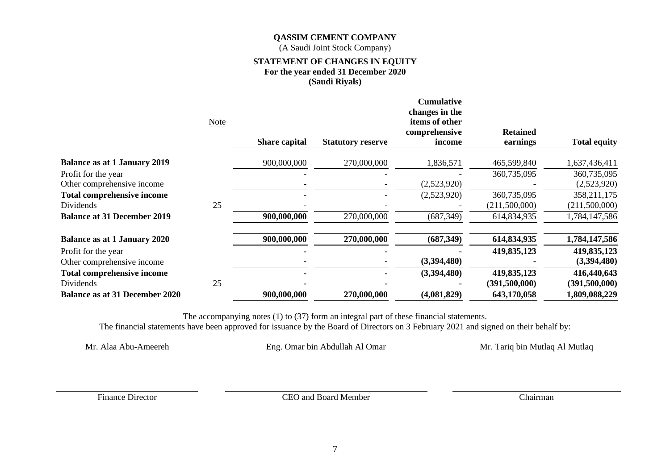(A Saudi Joint Stock Company)

# **STATEMENT OF CHANGES IN EQUITY For the year ended 31 December 2020**

# **(Saudi Riyals)**

|                                       | <b>Note</b> | <b>Share capital</b> | <b>Statutory reserve</b> | <b>Cumulative</b><br>changes in the<br>items of other<br>comprehensive<br>income | <b>Retained</b><br>earnings | <b>Total equity</b> |
|---------------------------------------|-------------|----------------------|--------------------------|----------------------------------------------------------------------------------|-----------------------------|---------------------|
| <b>Balance as at 1 January 2019</b>   |             | 900,000,000          | 270,000,000              | 1,836,571                                                                        | 465,599,840                 | 1,637,436,411       |
| Profit for the year                   |             |                      |                          |                                                                                  | 360,735,095                 | 360,735,095         |
| Other comprehensive income            |             |                      |                          | (2,523,920)                                                                      |                             | (2,523,920)         |
| <b>Total comprehensive income</b>     |             |                      |                          | (2,523,920)                                                                      | 360,735,095                 | 358, 211, 175       |
| Dividends                             | 25          |                      |                          |                                                                                  | (211,500,000)               | (211,500,000)       |
| <b>Balance at 31 December 2019</b>    |             | 900,000,000          | 270,000,000              | (687, 349)                                                                       | 614,834,935                 | 1,784,147,586       |
| <b>Balance as at 1 January 2020</b>   |             | 900,000,000          | 270,000,000              | (687,349)                                                                        | 614,834,935                 | 1,784,147,586       |
| Profit for the year                   |             |                      |                          |                                                                                  | 419,835,123                 | 419,835,123         |
| Other comprehensive income            |             |                      |                          | (3,394,480)                                                                      |                             | (3,394,480)         |
| <b>Total comprehensive income</b>     |             |                      |                          | (3,394,480)                                                                      | 419,835,123                 | 416,440,643         |
| Dividends                             | 25          |                      |                          |                                                                                  | (391, 500, 000)             | (391, 500, 000)     |
| <b>Balance as at 31 December 2020</b> |             | 900,000,000          | 270,000,000              | (4,081,829)                                                                      | 643,170,058                 | 1,809,088,229       |

The accompanying notes (1) to (37) form an integral part of these financial statements.

The financial statements have been approved for issuance by the Board of Directors on 3 February 2021 and signed on their behalf by:

Mr. Alaa Abu-Ameereh Eng. Omar bin Abdullah Al Omar Mr. Tariq bin Mutlaq Al Mutlaq

Finance Director CEO and Board Member CEO and Board Member Chairman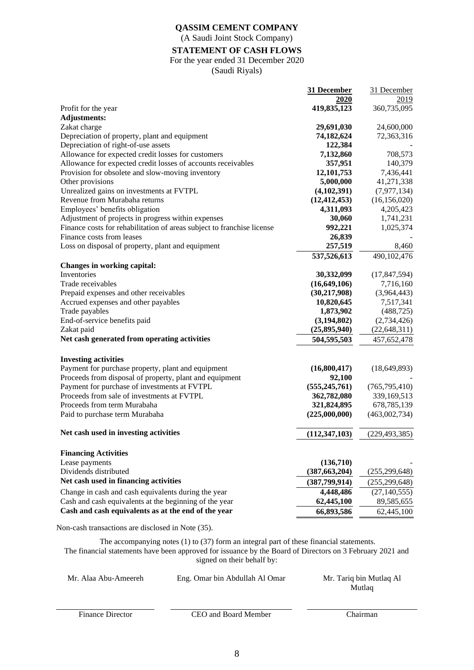(A Saudi Joint Stock Company)

#### **STATEMENT OF CASH FLOWS**

For the year ended 31 December 2020

(Saudi Riyals)

|                                                                        | 31 December     | 31 December     |
|------------------------------------------------------------------------|-----------------|-----------------|
|                                                                        | 2020            | 2019            |
| Profit for the year                                                    | 419,835,123     | 360,735,095     |
| <b>Adjustments:</b>                                                    |                 |                 |
| Zakat charge                                                           | 29,691,030      | 24,600,000      |
| Depreciation of property, plant and equipment                          | 74,182,624      | 72,363,316      |
| Depreciation of right-of-use assets                                    | 122,384         |                 |
| Allowance for expected credit losses for customers                     | 7,132,860       | 708,573         |
| Allowance for expected credit losses of accounts receivables           | 357,951         | 140,379         |
| Provision for obsolete and slow-moving inventory                       | 12,101,753      | 7,436,441       |
| Other provisions                                                       | 5,000,000       | 41,271,338      |
| Unrealized gains on investments at FVTPL                               | (4,102,391)     | (7, 977, 134)   |
| Revenue from Murabaha returns                                          | (12, 412, 453)  | (16, 156, 020)  |
| Employees' benefits obligation                                         | 4,311,093       | 4,205,423       |
| Adjustment of projects in progress within expenses                     | 30,060          | 1,741,231       |
| Finance costs for rehabilitation of areas subject to franchise license | 992,221         | 1,025,374       |
| Finance costs from leases                                              | 26,839          |                 |
| Loss on disposal of property, plant and equipment                      | 257,519         | 8,460           |
|                                                                        | 537,526,613     | 490,102,476     |
| Changes in working capital:                                            |                 |                 |
| Inventories                                                            | 30,332,099      | (17, 847, 594)  |
| Trade receivables                                                      | (16,649,106)    | 7,716,160       |
| Prepaid expenses and other receivables                                 | (30, 217, 908)  | (3,964,443)     |
| Accrued expenses and other payables                                    | 10,820,645      | 7,517,341       |
| Trade payables                                                         | 1,873,902       | (488, 725)      |
| End-of-service benefits paid                                           | (3, 194, 802)   | (2,734,426)     |
| Zakat paid                                                             | (25,895,940)    | (22, 648, 311)  |
| Net cash generated from operating activities                           | 504,595,503     | 457,652,478     |
| <b>Investing activities</b>                                            |                 |                 |
| Payment for purchase property, plant and equipment                     | (16,800,417)    | (18, 649, 893)  |
| Proceeds from disposal of property, plant and equipment                | 92,100          |                 |
| Payment for purchase of investments at FVTPL                           | (555, 245, 761) | (765, 795, 410) |
| Proceeds from sale of investments at FVTPL                             | 362,782,080     | 339,169,513     |
| Proceeds from term Murabaha                                            | 321,824,895     | 678, 785, 139   |
| Paid to purchase term Murabaha                                         | (225,000,000)   | (463,002,734)   |
| Net cash used in investing activities                                  | (112, 347, 103) | (229, 493, 385) |
|                                                                        |                 |                 |
| <b>Financing Activities</b>                                            |                 |                 |
| Lease payments                                                         | (136,710)       |                 |
| Dividends distributed                                                  | (387, 663, 204) | (255, 299, 648) |
| Net cash used in financing activities                                  | (387,799,914)   | (255, 299, 648) |
| Change in cash and cash equivalents during the year                    | 4,448,486       | (27, 140, 555)  |
| Cash and cash equivalents at the beginning of the year                 | 62,445,100      | 89,585,655      |
| Cash and cash equivalents as at the end of the year                    | 66,893,586      | 62,445,100      |
|                                                                        |                 |                 |

Non-cash transactions are disclosed in Note (35).

The accompanying notes (1) to (37) form an integral part of these financial statements. The financial statements have been approved for issuance by the Board of Directors on 3 February 2021 and signed on their behalf by:

| Mr. Alaa Abu-Ameereh | Eng. Omar bin Abdullah Al Omar | Mr. Tariq bin Mutlaq Al<br>Mutlag |
|----------------------|--------------------------------|-----------------------------------|
|                      |                                |                                   |

Finance Director CEO and Board Member Chairman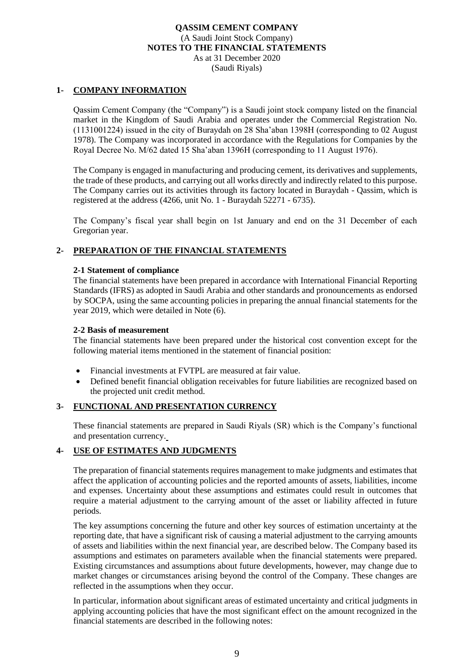# **1- COMPANY INFORMATION**

Qassim Cement Company (the "Company") is a Saudi joint stock company listed on the financial market in the Kingdom of Saudi Arabia and operates under the Commercial Registration No. (1131001224) issued in the city of Buraydah on 28 Sha'aban 1398H (corresponding to 02 August 1978). The Company was incorporated in accordance with the Regulations for Companies by the Royal Decree No. M/62 dated 15 Sha'aban 1396H (corresponding to 11 August 1976).

The Company is engaged in manufacturing and producing cement, its derivatives and supplements, the trade of these products, and carrying out all works directly and indirectly related to this purpose. The Company carries out its activities through its factory located in Buraydah - Qassim, which is registered at the address (4266, unit No. 1 - Buraydah 52271 - 6735).

The Company's fiscal year shall begin on 1st January and end on the 31 December of each Gregorian year.

# **2- PREPARATION OF THE FINANCIAL STATEMENTS**

#### **2-1 Statement of compliance**

The financial statements have been prepared in accordance with International Financial Reporting Standards (IFRS) as adopted in Saudi Arabia and other standards and pronouncements as endorsed by SOCPA, using the same accounting policies in preparing the annual financial statements for the year 2019, which were detailed in Note (6).

#### **2-2 Basis of measurement**

The financial statements have been prepared under the historical cost convention except for the following material items mentioned in the statement of financial position:

- Financial investments at FVTPL are measured at fair value.
- Defined benefit financial obligation receivables for future liabilities are recognized based on the projected unit credit method.

# **3- FUNCTIONAL AND PRESENTATION CURRENCY**

These financial statements are prepared in Saudi Riyals (SR) which is the Company's functional and presentation currency.

# **4- USE OF ESTIMATES AND JUDGMENTS**

The preparation of financial statements requires management to make judgments and estimates that affect the application of accounting policies and the reported amounts of assets, liabilities, income and expenses. Uncertainty about these assumptions and estimates could result in outcomes that require a material adjustment to the carrying amount of the asset or liability affected in future periods.

The key assumptions concerning the future and other key sources of estimation uncertainty at the reporting date, that have a significant risk of causing a material adjustment to the carrying amounts of assets and liabilities within the next financial year, are described below. The Company based its assumptions and estimates on parameters available when the financial statements were prepared. Existing circumstances and assumptions about future developments, however, may change due to market changes or circumstances arising beyond the control of the Company. These changes are reflected in the assumptions when they occur.

In particular, information about significant areas of estimated uncertainty and critical judgments in applying accounting policies that have the most significant effect on the amount recognized in the financial statements are described in the following notes: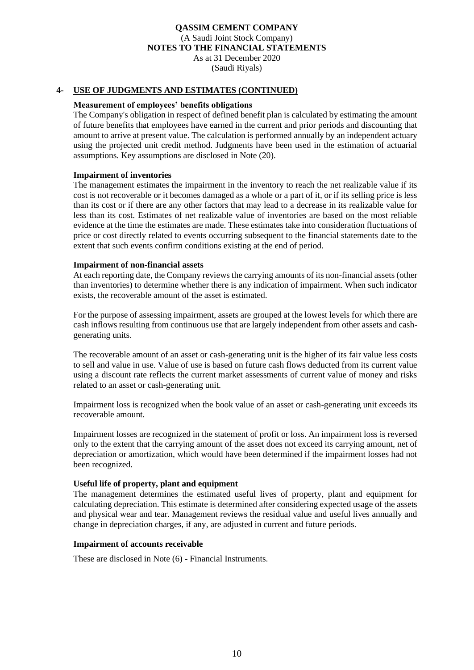# **4- USE OF JUDGMENTS AND ESTIMATES (CONTINUED)**

#### **Measurement of employees' benefits obligations**

The Company's obligation in respect of defined benefit plan is calculated by estimating the amount of future benefits that employees have earned in the current and prior periods and discounting that amount to arrive at present value. The calculation is performed annually by an independent actuary using the projected unit credit method. Judgments have been used in the estimation of actuarial assumptions. Key assumptions are disclosed in Note (20).

# **Impairment of inventories**

The management estimates the impairment in the inventory to reach the net realizable value if its cost is not recoverable or it becomes damaged as a whole or a part of it, or if its selling price is less than its cost or if there are any other factors that may lead to a decrease in its realizable value for less than its cost. Estimates of net realizable value of inventories are based on the most reliable evidence at the time the estimates are made. These estimates take into consideration fluctuations of price or cost directly related to events occurring subsequent to the financial statements date to the extent that such events confirm conditions existing at the end of period.

# **Impairment of non-financial assets**

At each reporting date, the Company reviews the carrying amounts of its non-financial assets (other than inventories) to determine whether there is any indication of impairment. When such indicator exists, the recoverable amount of the asset is estimated.

For the purpose of assessing impairment, assets are grouped at the lowest levels for which there are cash inflows resulting from continuous use that are largely independent from other assets and cashgenerating units.

The recoverable amount of an asset or cash-generating unit is the higher of its fair value less costs to sell and value in use. Value of use is based on future cash flows deducted from its current value using a discount rate reflects the current market assessments of current value of money and risks related to an asset or cash-generating unit.

Impairment loss is recognized when the book value of an asset or cash-generating unit exceeds its recoverable amount.

Impairment losses are recognized in the statement of profit or loss. An impairment loss is reversed only to the extent that the carrying amount of the asset does not exceed its carrying amount, net of depreciation or amortization, which would have been determined if the impairment losses had not been recognized.

# **Useful life of property, plant and equipment**

The management determines the estimated useful lives of property, plant and equipment for calculating depreciation. This estimate is determined after considering expected usage of the assets and physical wear and tear. Management reviews the residual value and useful lives annually and change in depreciation charges, if any, are adjusted in current and future periods.

# **Impairment of accounts receivable**

These are disclosed in Note (6) - Financial Instruments.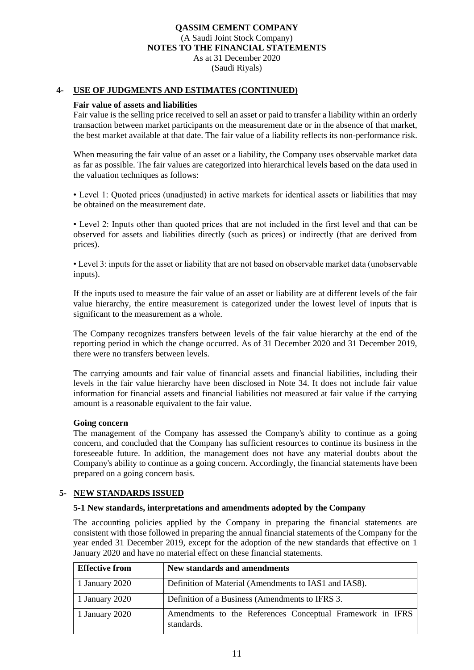# **4- USE OF JUDGMENTS AND ESTIMATES (CONTINUED)**

#### **Fair value of assets and liabilities**

Fair value is the selling price received to sell an asset or paid to transfer a liability within an orderly transaction between market participants on the measurement date or in the absence of that market, the best market available at that date. The fair value of a liability reflects its non-performance risk.

When measuring the fair value of an asset or a liability, the Company uses observable market data as far as possible. The fair values are categorized into hierarchical levels based on the data used in the valuation techniques as follows:

• Level 1: Quoted prices (unadjusted) in active markets for identical assets or liabilities that may be obtained on the measurement date.

• Level 2: Inputs other than quoted prices that are not included in the first level and that can be observed for assets and liabilities directly (such as prices) or indirectly (that are derived from prices).

• Level 3: inputs for the asset or liability that are not based on observable market data (unobservable inputs).

If the inputs used to measure the fair value of an asset or liability are at different levels of the fair value hierarchy, the entire measurement is categorized under the lowest level of inputs that is significant to the measurement as a whole.

The Company recognizes transfers between levels of the fair value hierarchy at the end of the reporting period in which the change occurred. As of 31 December 2020 and 31 December 2019, there were no transfers between levels.

The carrying amounts and fair value of financial assets and financial liabilities, including their levels in the fair value hierarchy have been disclosed in Note 34. It does not include fair value information for financial assets and financial liabilities not measured at fair value if the carrying amount is a reasonable equivalent to the fair value.

#### **Going concern**

The management of the Company has assessed the Company's ability to continue as a going concern, and concluded that the Company has sufficient resources to continue its business in the foreseeable future. In addition, the management does not have any material doubts about the Company's ability to continue as a going concern. Accordingly, the financial statements have been prepared on a going concern basis.

# **5- NEW STANDARDS ISSUED**

# **5-1 New standards, interpretations and amendments adopted by the Company**

The accounting policies applied by the Company in preparing the financial statements are consistent with those followed in preparing the annual financial statements of the Company for the year ended 31 December 2019, except for the adoption of the new standards that effective on 1 January 2020 and have no material effect on these financial statements.

| <b>Effective from</b> | New standards and amendments                                            |
|-----------------------|-------------------------------------------------------------------------|
| 1 January 2020        | Definition of Material (Amendments to IAS1 and IAS8).                   |
| 1 January 2020        | Definition of a Business (Amendments to IFRS 3.                         |
| 1 January 2020        | Amendments to the References Conceptual Framework in IFRS<br>standards. |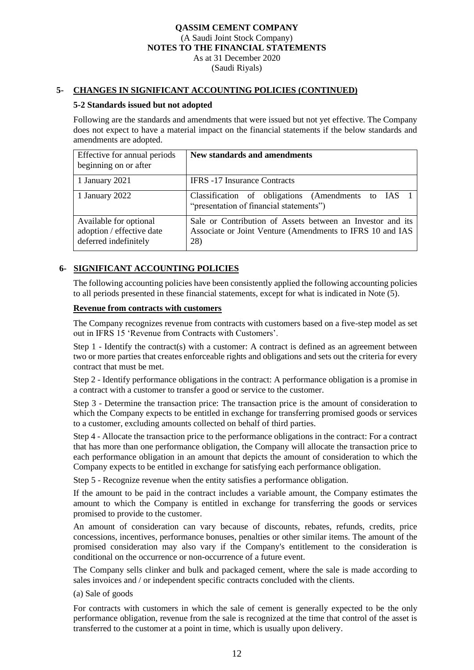# **5- CHANGES IN SIGNIFICANT ACCOUNTING POLICIES (CONTINUED)**

#### **5-2 Standards issued but not adopted**

Following are the standards and amendments that were issued but not yet effective. The Company does not expect to have a material impact on the financial statements if the below standards and amendments are adopted.

| Effective for annual periods<br>beginning on or after                        | New standards and amendments                                                                                                   |
|------------------------------------------------------------------------------|--------------------------------------------------------------------------------------------------------------------------------|
| 1 January 2021                                                               | <b>IFRS</b> -17 Insurance Contracts                                                                                            |
| 1 January 2022                                                               | Classification of obligations (Amendments to IAS 1)<br>"presentation of financial statements")                                 |
| Available for optional<br>adoption / effective date<br>deferred indefinitely | Sale or Contribution of Assets between an Investor and its<br>Associate or Joint Venture (Amendments to IFRS 10 and IAS<br>28) |

# **6- SIGNIFICANT ACCOUNTING POLICIES**

The following accounting policies have been consistently applied the following accounting policies to all periods presented in these financial statements, except for what is indicated in Note (5).

# **Revenue from contracts with customers**

The Company recognizes revenue from contracts with customers based on a five-step model as set out in IFRS 15 'Revenue from Contracts with Customers'.

Step 1 - Identify the contract(s) with a customer: A contract is defined as an agreement between two or more parties that creates enforceable rights and obligations and sets out the criteria for every contract that must be met.

Step 2 - Identify performance obligations in the contract: A performance obligation is a promise in a contract with a customer to transfer a good or service to the customer.

Step 3 - Determine the transaction price: The transaction price is the amount of consideration to which the Company expects to be entitled in exchange for transferring promised goods or services to a customer, excluding amounts collected on behalf of third parties.

Step 4 - Allocate the transaction price to the performance obligations in the contract: For a contract that has more than one performance obligation, the Company will allocate the transaction price to each performance obligation in an amount that depicts the amount of consideration to which the Company expects to be entitled in exchange for satisfying each performance obligation.

Step 5 - Recognize revenue when the entity satisfies a performance obligation.

If the amount to be paid in the contract includes a variable amount, the Company estimates the amount to which the Company is entitled in exchange for transferring the goods or services promised to provide to the customer.

An amount of consideration can vary because of discounts, rebates, refunds, credits, price concessions, incentives, performance bonuses, penalties or other similar items. The amount of the promised consideration may also vary if the Company's entitlement to the consideration is conditional on the occurrence or non-occurrence of a future event.

The Company sells clinker and bulk and packaged cement, where the sale is made according to sales invoices and / or independent specific contracts concluded with the clients.

(a) Sale of goods

For contracts with customers in which the sale of cement is generally expected to be the only performance obligation, revenue from the sale is recognized at the time that control of the asset is transferred to the customer at a point in time, which is usually upon delivery.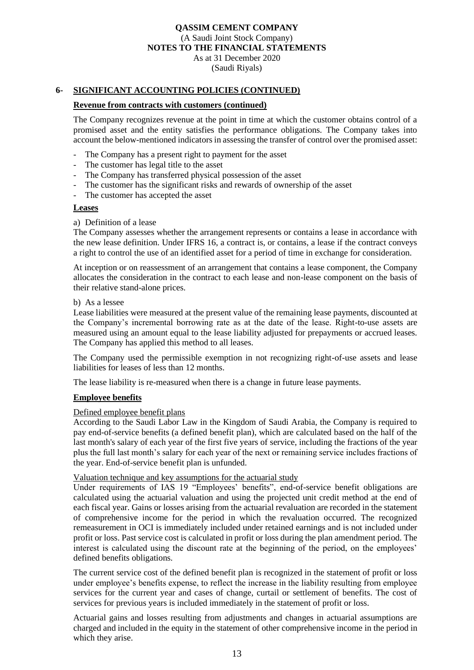# **6- SIGNIFICANT ACCOUNTING POLICIES (CONTINUED)**

#### **Revenue from contracts with customers (continued)**

The Company recognizes revenue at the point in time at which the customer obtains control of a promised asset and the entity satisfies the performance obligations. The Company takes into account the below-mentioned indicators in assessing the transfer of control over the promised asset:

- The Company has a present right to payment for the asset
- The customer has legal title to the asset
- The Company has transferred physical possession of the asset
- The customer has the significant risks and rewards of ownership of the asset
- The customer has accepted the asset

# **Leases**

# a) Definition of a lease

The Company assesses whether the arrangement represents or contains a lease in accordance with the new lease definition. Under IFRS 16, a contract is, or contains, a lease if the contract conveys a right to control the use of an identified asset for a period of time in exchange for consideration.

At inception or on reassessment of an arrangement that contains a lease component, the Company allocates the consideration in the contract to each lease and non-lease component on the basis of their relative stand-alone prices.

#### b) As a lessee

Lease liabilities were measured at the present value of the remaining lease payments, discounted at the Company's incremental borrowing rate as at the date of the lease. Right-to-use assets are measured using an amount equal to the lease liability adjusted for prepayments or accrued leases. The Company has applied this method to all leases.

The Company used the permissible exemption in not recognizing right-of-use assets and lease liabilities for leases of less than 12 months.

The lease liability is re-measured when there is a change in future lease payments.

# **Employee benefits**

# Defined employee benefit plans

According to the Saudi Labor Law in the Kingdom of Saudi Arabia, the Company is required to pay end-of-service benefits (a defined benefit plan), which are calculated based on the half of the last month's salary of each year of the first five years of service, including the fractions of the year plus the full last month's salary for each year of the next or remaining service includes fractions of the year. End-of-service benefit plan is unfunded.

# Valuation technique and key assumptions for the actuarial study

Under requirements of IAS 19 "Employees' benefits", end-of-service benefit obligations are calculated using the actuarial valuation and using the projected unit credit method at the end of each fiscal year. Gains or losses arising from the actuarial revaluation are recorded in the statement of comprehensive income for the period in which the revaluation occurred. The recognized remeasurement in OCI is immediately included under retained earnings and is not included under profit or loss. Past service cost is calculated in profit or loss during the plan amendment period. The interest is calculated using the discount rate at the beginning of the period, on the employees' defined benefits obligations.

The current service cost of the defined benefit plan is recognized in the statement of profit or loss under employee's benefits expense, to reflect the increase in the liability resulting from employee services for the current year and cases of change, curtail or settlement of benefits. The cost of services for previous years is included immediately in the statement of profit or loss.

Actuarial gains and losses resulting from adjustments and changes in actuarial assumptions are charged and included in the equity in the statement of other comprehensive income in the period in which they arise.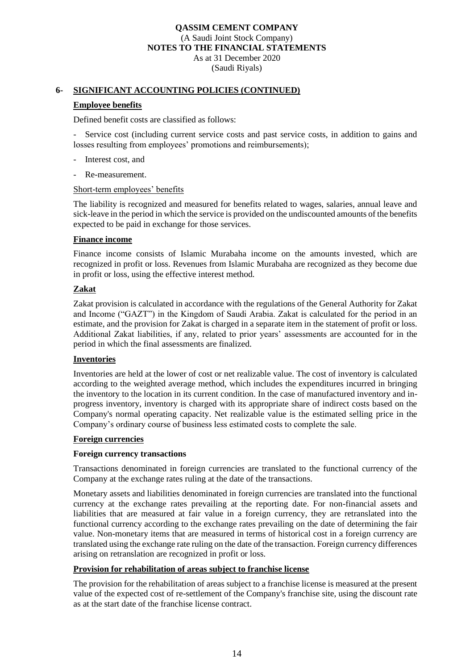# **6- SIGNIFICANT ACCOUNTING POLICIES (CONTINUED)**

### **Employee benefits**

Defined benefit costs are classified as follows:

- Service cost (including current service costs and past service costs, in addition to gains and losses resulting from employees' promotions and reimbursements);

- Interest cost, and
- Re-measurement.

#### Short-term employees' benefits

The liability is recognized and measured for benefits related to wages, salaries, annual leave and sick-leave in the period in which the service is provided on the undiscounted amounts of the benefits expected to be paid in exchange for those services.

# **Finance income**

Finance income consists of Islamic Murabaha income on the amounts invested, which are recognized in profit or loss. Revenues from Islamic Murabaha are recognized as they become due in profit or loss, using the effective interest method.

# **Zakat**

Zakat provision is calculated in accordance with the regulations of the General Authority for Zakat and Income ("GAZT") in the Kingdom of Saudi Arabia. Zakat is calculated for the period in an estimate, and the provision for Zakat is charged in a separate item in the statement of profit or loss. Additional Zakat liabilities, if any, related to prior years' assessments are accounted for in the period in which the final assessments are finalized.

# **Inventories**

Inventories are held at the lower of cost or net realizable value. The cost of inventory is calculated according to the weighted average method, which includes the expenditures incurred in bringing the inventory to the location in its current condition. In the case of manufactured inventory and inprogress inventory, inventory is charged with its appropriate share of indirect costs based on the Company's normal operating capacity. Net realizable value is the estimated selling price in the Company's ordinary course of business less estimated costs to complete the sale.

#### **Foreign currencies**

# **Foreign currency transactions**

Transactions denominated in foreign currencies are translated to the functional currency of the Company at the exchange rates ruling at the date of the transactions.

Monetary assets and liabilities denominated in foreign currencies are translated into the functional currency at the exchange rates prevailing at the reporting date. For non-financial assets and liabilities that are measured at fair value in a foreign currency, they are retranslated into the functional currency according to the exchange rates prevailing on the date of determining the fair value. Non-monetary items that are measured in terms of historical cost in a foreign currency are translated using the exchange rate ruling on the date of the transaction. Foreign currency differences arising on retranslation are recognized in profit or loss.

# **Provision for rehabilitation of areas subject to franchise license**

The provision for the rehabilitation of areas subject to a franchise license is measured at the present value of the expected cost of re-settlement of the Company's franchise site, using the discount rate as at the start date of the franchise license contract.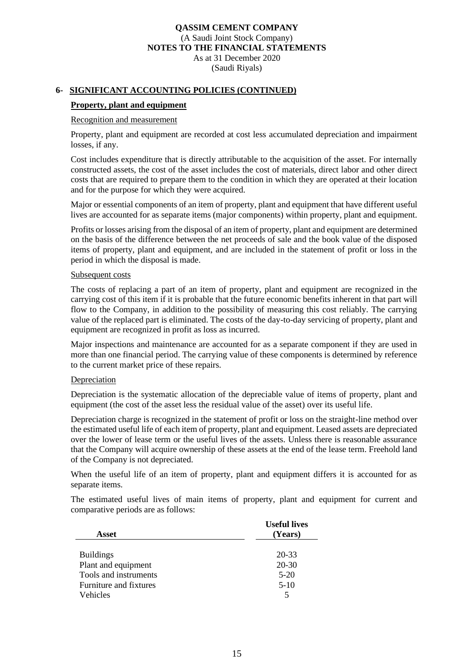# **6- SIGNIFICANT ACCOUNTING POLICIES (CONTINUED)**

### **Property, plant and equipment**

#### Recognition and measurement

Property, plant and equipment are recorded at cost less accumulated depreciation and impairment losses, if any.

Cost includes expenditure that is directly attributable to the acquisition of the asset. For internally constructed assets, the cost of the asset includes the cost of materials, direct labor and other direct costs that are required to prepare them to the condition in which they are operated at their location and for the purpose for which they were acquired.

Major or essential components of an item of property, plant and equipment that have different useful lives are accounted for as separate items (major components) within property, plant and equipment.

Profits or losses arising from the disposal of an item of property, plant and equipment are determined on the basis of the difference between the net proceeds of sale and the book value of the disposed items of property, plant and equipment, and are included in the statement of profit or loss in the period in which the disposal is made.

#### Subsequent costs

The costs of replacing a part of an item of property, plant and equipment are recognized in the carrying cost of this item if it is probable that the future economic benefits inherent in that part will flow to the Company, in addition to the possibility of measuring this cost reliably. The carrying value of the replaced part is eliminated. The costs of the day-to-day servicing of property, plant and equipment are recognized in profit as loss as incurred.

Major inspections and maintenance are accounted for as a separate component if they are used in more than one financial period. The carrying value of these components is determined by reference to the current market price of these repairs.

# **Depreciation**

Depreciation is the systematic allocation of the depreciable value of items of property, plant and equipment (the cost of the asset less the residual value of the asset) over its useful life.

Depreciation charge is recognized in the statement of profit or loss on the straight-line method over the estimated useful life of each item of property, plant and equipment. Leased assets are depreciated over the lower of lease term or the useful lives of the assets. Unless there is reasonable assurance that the Company will acquire ownership of these assets at the end of the lease term. Freehold land of the Company is not depreciated.

When the useful life of an item of property, plant and equipment differs it is accounted for as separate items.

The estimated useful lives of main items of property, plant and equipment for current and comparative periods are as follows:

| Asset                  | <b>Useful lives</b><br>(Years) |
|------------------------|--------------------------------|
|                        |                                |
| <b>Buildings</b>       | $20 - 33$                      |
| Plant and equipment    | $20 - 30$                      |
| Tools and instruments  | $5-20$                         |
| Furniture and fixtures | $5-10$                         |
| Vehicles               |                                |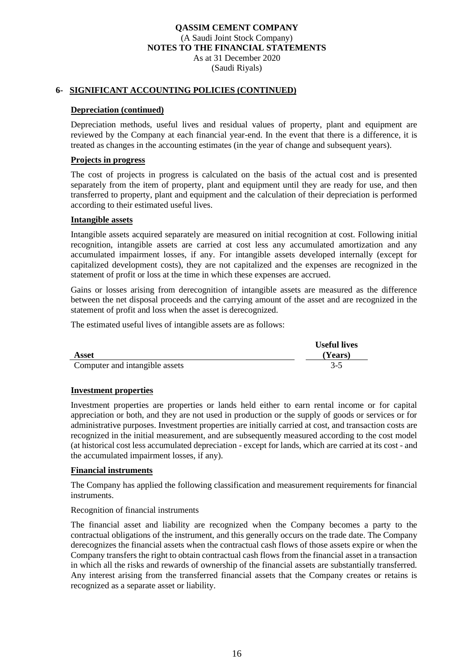# **6- SIGNIFICANT ACCOUNTING POLICIES (CONTINUED)**

# **Depreciation (continued)**

Depreciation methods, useful lives and residual values of property, plant and equipment are reviewed by the Company at each financial year-end. In the event that there is a difference, it is treated as changes in the accounting estimates (in the year of change and subsequent years).

# **Projects in progress**

The cost of projects in progress is calculated on the basis of the actual cost and is presented separately from the item of property, plant and equipment until they are ready for use, and then transferred to property, plant and equipment and the calculation of their depreciation is performed according to their estimated useful lives.

# **Intangible assets**

Intangible assets acquired separately are measured on initial recognition at cost. Following initial recognition, intangible assets are carried at cost less any accumulated amortization and any accumulated impairment losses, if any. For intangible assets developed internally (except for capitalized development costs), they are not capitalized and the expenses are recognized in the statement of profit or loss at the time in which these expenses are accrued.

Gains or losses arising from derecognition of intangible assets are measured as the difference between the net disposal proceeds and the carrying amount of the asset and are recognized in the statement of profit and loss when the asset is derecognized.

The estimated useful lives of intangible assets are as follows:

|                                | <b>Useful lives</b> |
|--------------------------------|---------------------|
| Asset                          | (Years)             |
| Computer and intangible assets | $3-5$               |

# **Investment properties**

Investment properties are properties or lands held either to earn rental income or for capital appreciation or both, and they are not used in production or the supply of goods or services or for administrative purposes. Investment properties are initially carried at cost, and transaction costs are recognized in the initial measurement, and are subsequently measured according to the cost model (at historical cost less accumulated depreciation - except for lands, which are carried at its cost - and the accumulated impairment losses, if any).

# **Financial instruments**

The Company has applied the following classification and measurement requirements for financial instruments.

# Recognition of financial instruments

The financial asset and liability are recognized when the Company becomes a party to the contractual obligations of the instrument, and this generally occurs on the trade date. The Company derecognizes the financial assets when the contractual cash flows of those assets expire or when the Company transfers the right to obtain contractual cash flows from the financial asset in a transaction in which all the risks and rewards of ownership of the financial assets are substantially transferred. Any interest arising from the transferred financial assets that the Company creates or retains is recognized as a separate asset or liability.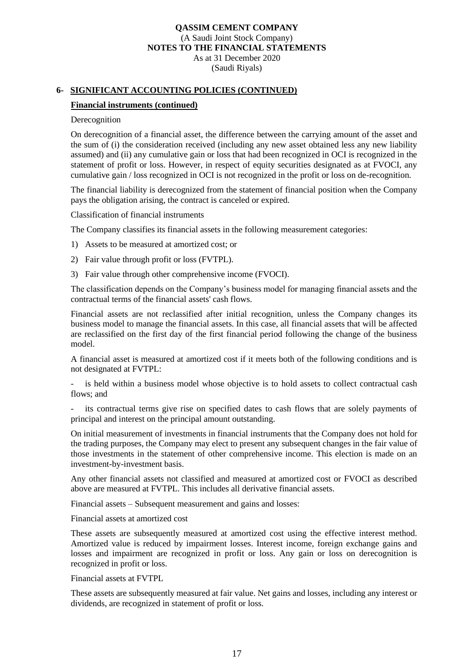# **6- SIGNIFICANT ACCOUNTING POLICIES (CONTINUED)**

### **Financial instruments (continued)**

Derecognition

On derecognition of a financial asset, the difference between the carrying amount of the asset and the sum of (i) the consideration received (including any new asset obtained less any new liability assumed) and (ii) any cumulative gain or loss that had been recognized in OCI is recognized in the statement of profit or loss. However, in respect of equity securities designated as at FVOCI, any cumulative gain / loss recognized in OCI is not recognized in the profit or loss on de-recognition.

The financial liability is derecognized from the statement of financial position when the Company pays the obligation arising, the contract is canceled or expired.

Classification of financial instruments

The Company classifies its financial assets in the following measurement categories:

- 1) Assets to be measured at amortized cost; or
- 2) Fair value through profit or loss (FVTPL).
- 3) Fair value through other comprehensive income (FVOCI).

The classification depends on the Company's business model for managing financial assets and the contractual terms of the financial assets' cash flows.

Financial assets are not reclassified after initial recognition, unless the Company changes its business model to manage the financial assets. In this case, all financial assets that will be affected are reclassified on the first day of the first financial period following the change of the business model.

A financial asset is measured at amortized cost if it meets both of the following conditions and is not designated at FVTPL:

is held within a business model whose objective is to hold assets to collect contractual cash flows; and

its contractual terms give rise on specified dates to cash flows that are solely payments of principal and interest on the principal amount outstanding.

On initial measurement of investments in financial instruments that the Company does not hold for the trading purposes, the Company may elect to present any subsequent changes in the fair value of those investments in the statement of other comprehensive income. This election is made on an investment-by-investment basis.

Any other financial assets not classified and measured at amortized cost or FVOCI as described above are measured at FVTPL. This includes all derivative financial assets.

Financial assets – Subsequent measurement and gains and losses:

Financial assets at amortized cost

These assets are subsequently measured at amortized cost using the effective interest method. Amortized value is reduced by impairment losses. Interest income, foreign exchange gains and losses and impairment are recognized in profit or loss. Any gain or loss on derecognition is recognized in profit or loss.

Financial assets at FVTPL

These assets are subsequently measured at fair value. Net gains and losses, including any interest or dividends, are recognized in statement of profit or loss.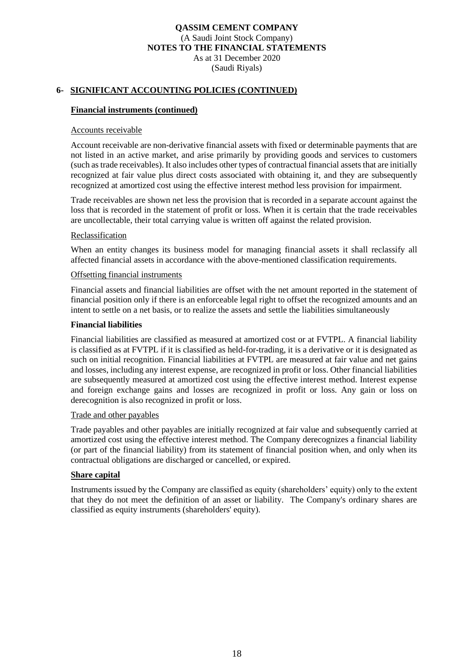# **6- SIGNIFICANT ACCOUNTING POLICIES (CONTINUED)**

# **Financial instruments (continued)**

#### Accounts receivable

Account receivable are non-derivative financial assets with fixed or determinable payments that are not listed in an active market, and arise primarily by providing goods and services to customers (such as trade receivables). It also includes other types of contractual financial assets that are initially recognized at fair value plus direct costs associated with obtaining it, and they are subsequently recognized at amortized cost using the effective interest method less provision for impairment.

Trade receivables are shown net less the provision that is recorded in a separate account against the loss that is recorded in the statement of profit or loss. When it is certain that the trade receivables are uncollectable, their total carrying value is written off against the related provision.

#### Reclassification

When an entity changes its business model for managing financial assets it shall reclassify all affected financial assets in accordance with the above-mentioned classification requirements.

# Offsetting financial instruments

Financial assets and financial liabilities are offset with the net amount reported in the statement of financial position only if there is an enforceable legal right to offset the recognized amounts and an intent to settle on a net basis, or to realize the assets and settle the liabilities simultaneously

#### **Financial liabilities**

Financial liabilities are classified as measured at amortized cost or at FVTPL. A financial liability is classified as at FVTPL if it is classified as held-for-trading, it is a derivative or it is designated as such on initial recognition. Financial liabilities at FVTPL are measured at fair value and net gains and losses, including any interest expense, are recognized in profit or loss. Other financial liabilities are subsequently measured at amortized cost using the effective interest method. Interest expense and foreign exchange gains and losses are recognized in profit or loss. Any gain or loss on derecognition is also recognized in profit or loss.

#### Trade and other payables

Trade payables and other payables are initially recognized at fair value and subsequently carried at amortized cost using the effective interest method. The Company derecognizes a financial liability (or part of the financial liability) from its statement of financial position when, and only when its contractual obligations are discharged or cancelled, or expired.

#### **Share capital**

Instruments issued by the Company are classified as equity (shareholders' equity) only to the extent that they do not meet the definition of an asset or liability. The Company's ordinary shares are classified as equity instruments (shareholders' equity).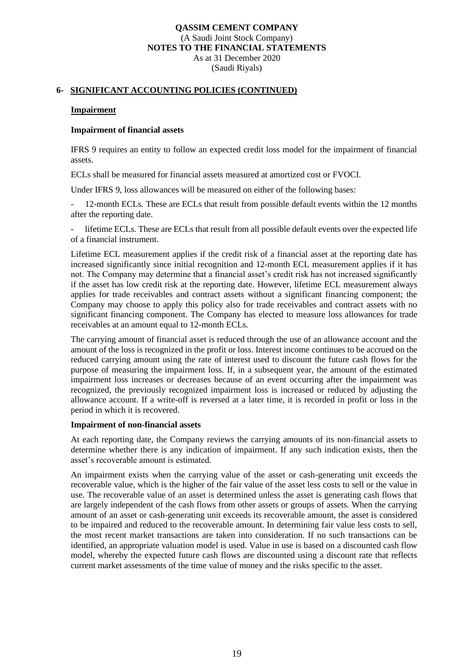# **6- SIGNIFICANT ACCOUNTING POLICIES (CONTINUED)**

#### **Impairment**

#### **Impairment of financial assets**

IFRS 9 requires an entity to follow an expected credit loss model for the impairment of financial assets.

ECLs shall be measured for financial assets measured at amortized cost or FVOCI.

Under IFRS 9, loss allowances will be measured on either of the following bases:

12-month ECLs. These are ECLs that result from possible default events within the 12 months after the reporting date.

lifetime ECLs. These are ECLs that result from all possible default events over the expected life of a financial instrument.

Lifetime ECL measurement applies if the credit risk of a financial asset at the reporting date has increased significantly since initial recognition and 12-month ECL measurement applies if it has not. The Company may determine that a financial asset's credit risk has not increased significantly if the asset has low credit risk at the reporting date. However, lifetime ECL measurement always applies for trade receivables and contract assets without a significant financing component; the Company may choose to apply this policy also for trade receivables and contract assets with no significant financing component. The Company has elected to measure loss allowances for trade receivables at an amount equal to 12-month ECLs.

The carrying amount of financial asset is reduced through the use of an allowance account and the amount of the loss is recognized in the profit or loss. Interest income continues to be accrued on the reduced carrying amount using the rate of interest used to discount the future cash flows for the purpose of measuring the impairment loss. If, in a subsequent year, the amount of the estimated impairment loss increases or decreases because of an event occurring after the impairment was recognized, the previously recognized impairment loss is increased or reduced by adjusting the allowance account. If a write-off is reversed at a later time, it is recorded in profit or loss in the period in which it is recovered.

#### **Impairment of non-financial assets**

At each reporting date, the Company reviews the carrying amounts of its non-financial assets to determine whether there is any indication of impairment. If any such indication exists, then the asset's recoverable amount is estimated.

An impairment exists when the carrying value of the asset or cash-generating unit exceeds the recoverable value, which is the higher of the fair value of the asset less costs to sell or the value in use. The recoverable value of an asset is determined unless the asset is generating cash flows that are largely independent of the cash flows from other assets or groups of assets. When the carrying amount of an asset or cash-generating unit exceeds its recoverable amount, the asset is considered to be impaired and reduced to the recoverable amount. In determining fair value less costs to sell, the most recent market transactions are taken into consideration. If no such transactions can be identified, an appropriate valuation model is used. Value in use is based on a discounted cash flow model, whereby the expected future cash flows are discounted using a discount rate that reflects current market assessments of the time value of money and the risks specific to the asset.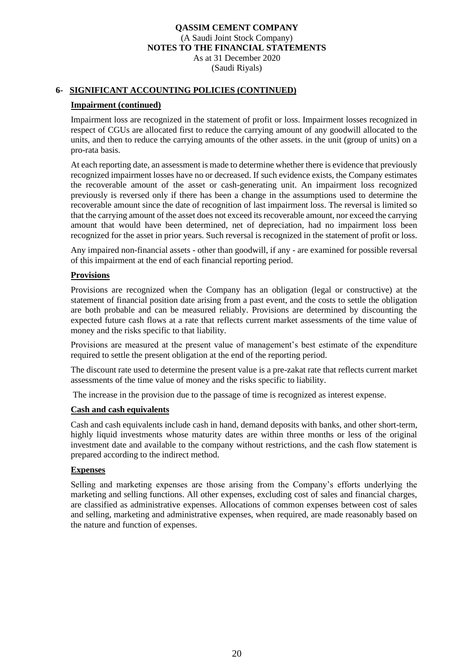# **6- SIGNIFICANT ACCOUNTING POLICIES (CONTINUED)**

# **Impairment (continued)**

Impairment loss are recognized in the statement of profit or loss. Impairment losses recognized in respect of CGUs are allocated first to reduce the carrying amount of any goodwill allocated to the units, and then to reduce the carrying amounts of the other assets. in the unit (group of units) on a pro-rata basis.

At each reporting date, an assessment is made to determine whether there is evidence that previously recognized impairment losses have no or decreased. If such evidence exists, the Company estimates the recoverable amount of the asset or cash-generating unit. An impairment loss recognized previously is reversed only if there has been a change in the assumptions used to determine the recoverable amount since the date of recognition of last impairment loss. The reversal is limited so that the carrying amount of the asset does not exceed its recoverable amount, nor exceed the carrying amount that would have been determined, net of depreciation, had no impairment loss been recognized for the asset in prior years. Such reversal is recognized in the statement of profit or loss.

Any impaired non-financial assets - other than goodwill, if any - are examined for possible reversal of this impairment at the end of each financial reporting period.

#### **Provisions**

Provisions are recognized when the Company has an obligation (legal or constructive) at the statement of financial position date arising from a past event, and the costs to settle the obligation are both probable and can be measured reliably. Provisions are determined by discounting the expected future cash flows at a rate that reflects current market assessments of the time value of money and the risks specific to that liability.

Provisions are measured at the present value of management's best estimate of the expenditure required to settle the present obligation at the end of the reporting period.

The discount rate used to determine the present value is a pre-zakat rate that reflects current market assessments of the time value of money and the risks specific to liability.

The increase in the provision due to the passage of time is recognized as interest expense.

#### **Cash and cash equivalents**

Cash and cash equivalents include cash in hand, demand deposits with banks, and other short-term, highly liquid investments whose maturity dates are within three months or less of the original investment date and available to the company without restrictions, and the cash flow statement is prepared according to the indirect method.

# **Expenses**

Selling and marketing expenses are those arising from the Company's efforts underlying the marketing and selling functions. All other expenses, excluding cost of sales and financial charges, are classified as administrative expenses. Allocations of common expenses between cost of sales and selling, marketing and administrative expenses, when required, are made reasonably based on the nature and function of expenses.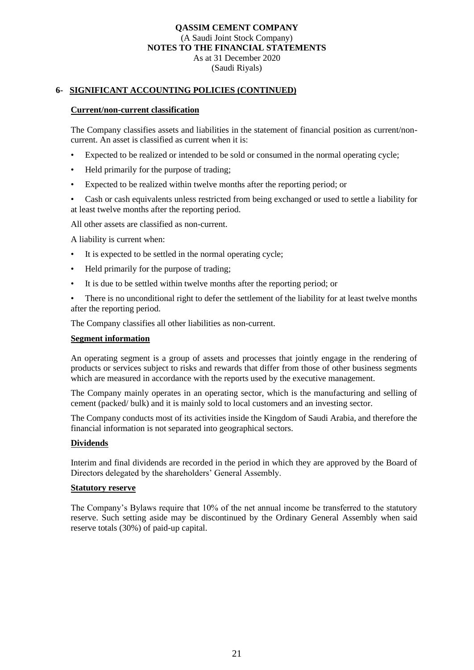# **6- SIGNIFICANT ACCOUNTING POLICIES (CONTINUED)**

### **Current/non-current classification**

The Company classifies assets and liabilities in the statement of financial position as current/noncurrent. An asset is classified as current when it is:

- Expected to be realized or intended to be sold or consumed in the normal operating cycle;
- Held primarily for the purpose of trading;
- Expected to be realized within twelve months after the reporting period; or
- Cash or cash equivalents unless restricted from being exchanged or used to settle a liability for at least twelve months after the reporting period.

All other assets are classified as non-current.

A liability is current when:

- It is expected to be settled in the normal operating cycle;
- Held primarily for the purpose of trading;
- It is due to be settled within twelve months after the reporting period; or
- There is no unconditional right to defer the settlement of the liability for at least twelve months after the reporting period.

The Company classifies all other liabilities as non-current.

### **Segment information**

An operating segment is a group of assets and processes that jointly engage in the rendering of products or services subject to risks and rewards that differ from those of other business segments which are measured in accordance with the reports used by the executive management.

The Company mainly operates in an operating sector, which is the manufacturing and selling of cement (packed/ bulk) and it is mainly sold to local customers and an investing sector.

The Company conducts most of its activities inside the Kingdom of Saudi Arabia, and therefore the financial information is not separated into geographical sectors.

# **Dividends**

Interim and final dividends are recorded in the period in which they are approved by the Board of Directors delegated by the shareholders' General Assembly.

#### **Statutory reserve**

The Company's Bylaws require that 10% of the net annual income be transferred to the statutory reserve. Such setting aside may be discontinued by the Ordinary General Assembly when said reserve totals (30%) of paid-up capital.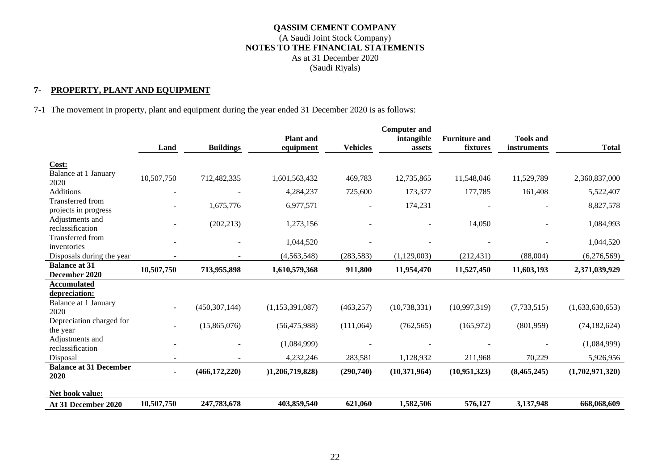# **7- PROPERTY, PLANT AND EQUIPMENT**

7-1 The movement in property, plant and equipment during the year ended 31 December 2020 is as follows:

|                                       | Land       | <b>Buildings</b> | <b>Plant</b> and<br>equipment | <b>Vehicles</b> | <b>Computer and</b><br>intangible<br>assets | <b>Furniture and</b><br>fixtures | <b>Tools and</b><br>instruments | <b>Total</b>    |
|---------------------------------------|------------|------------------|-------------------------------|-----------------|---------------------------------------------|----------------------------------|---------------------------------|-----------------|
|                                       |            |                  |                               |                 |                                             |                                  |                                 |                 |
| Cost:                                 |            |                  |                               |                 |                                             |                                  |                                 |                 |
| Balance at 1 January                  | 10,507,750 | 712,482,335      | 1,601,563,432                 | 469,783         | 12,735,865                                  | 11,548,046                       | 11,529,789                      | 2,360,837,000   |
| 2020<br><b>Additions</b>              |            |                  | 4,284,237                     | 725,600         | 173,377                                     | 177,785                          | 161,408                         | 5,522,407       |
| <b>Transferred</b> from               |            |                  |                               |                 |                                             |                                  |                                 |                 |
| projects in progress                  |            | 1,675,776        | 6,977,571                     | $\overline{a}$  | 174,231                                     |                                  |                                 | 8,827,578       |
| Adjustments and                       |            | (202, 213)       | 1,273,156                     |                 |                                             | 14,050                           |                                 | 1,084,993       |
| reclassification                      |            |                  |                               |                 |                                             |                                  |                                 |                 |
| Transferred from<br>inventories       |            |                  | 1,044,520                     |                 |                                             |                                  |                                 | 1,044,520       |
| Disposals during the year             |            |                  | (4, 563, 548)                 | (283, 583)      | (1,129,003)                                 | (212, 431)                       | (88,004)                        | (6,276,569)     |
| <b>Balance at 31</b>                  |            |                  |                               |                 |                                             |                                  |                                 |                 |
| December 2020                         | 10,507,750 | 713,955,898      | 1,610,579,368                 | 911,800         | 11,954,470                                  | 11,527,450                       | 11,603,193                      | 2,371,039,929   |
| <b>Accumulated</b>                    |            |                  |                               |                 |                                             |                                  |                                 |                 |
| depreciation:                         |            |                  |                               |                 |                                             |                                  |                                 |                 |
| Balance at 1 January<br>2020          |            | (450, 307, 144)  | (1, 153, 391, 087)            | (463, 257)      | (10, 738, 331)                              | (10,997,319)                     | (7, 733, 515)                   | (1,633,630,653) |
| Depreciation charged for              |            |                  |                               |                 |                                             |                                  |                                 |                 |
| the year                              |            | (15,865,076)     | (56, 475, 988)                | (111,064)       | (762, 565)                                  | (165, 972)                       | (801,959)                       | (74, 182, 624)  |
| Adjustments and                       |            |                  | (1,084,999)                   |                 |                                             |                                  |                                 | (1,084,999)     |
| reclassification                      |            |                  |                               |                 |                                             |                                  |                                 |                 |
| Disposal                              |            |                  | 4,232,246                     | 283,581         | 1,128,932                                   | 211,968                          | 70,229                          | 5,926,956       |
| <b>Balance at 31 December</b><br>2020 |            | (466, 172, 220)  | (1,206,719,828)               | (290,740)       | (10,371,964)                                | (10,951,323)                     | (8,465,245)                     | (1,702,971,320) |
| Net book value:                       |            |                  |                               |                 |                                             |                                  |                                 |                 |
| At 31 December 2020                   | 10,507,750 | 247,783,678      | 403,859,540                   | 621,060         | 1,582,506                                   | 576,127                          | 3,137,948                       | 668,068,609     |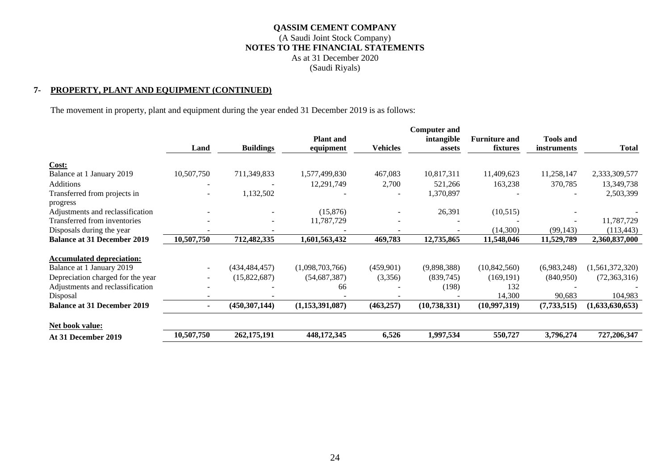# **7- PROPERTY, PLANT AND EQUIPMENT (CONTINUED)**

The movement in property, plant and equipment during the year ended 31 December 2019 is as follows:

|                                    | Land                     | <b>Buildings</b> | <b>Plant</b> and<br>equipment | <b>Vehicles</b> | <b>Computer and</b><br>intangible<br>assets | <b>Furniture and</b><br>fixtures | <b>Tools and</b><br>instruments | <b>Total</b>    |
|------------------------------------|--------------------------|------------------|-------------------------------|-----------------|---------------------------------------------|----------------------------------|---------------------------------|-----------------|
| Cost:                              |                          |                  |                               |                 |                                             |                                  |                                 |                 |
| Balance at 1 January 2019          | 10,507,750               | 711,349,833      | 1,577,499,830                 | 467,083         | 10,817,311                                  | 11,409,623                       | 11,258,147                      | 2,333,309,577   |
| <b>Additions</b>                   |                          |                  | 12,291,749                    | 2,700           | 521,266                                     | 163,238                          | 370,785                         | 13,349,738      |
| Transferred from projects in       |                          | 1,132,502        |                               |                 | 1,370,897                                   |                                  |                                 | 2,503,399       |
| progress                           |                          |                  |                               |                 |                                             |                                  |                                 |                 |
| Adjustments and reclassification   |                          |                  | (15,876)                      |                 | 26,391                                      | (10,515)                         |                                 |                 |
| Transferred from inventories       |                          |                  | 11,787,729                    |                 |                                             |                                  |                                 | 11,787,729      |
| Disposals during the year          |                          |                  |                               |                 |                                             | (14,300)                         | (99, 143)                       | (113, 443)      |
| <b>Balance at 31 December 2019</b> | 10,507,750               | 712,482,335      | 1,601,563,432                 | 469,783         | 12,735,865                                  | 11,548,046                       | 11,529,789                      | 2,360,837,000   |
| <b>Accumulated depreciation:</b>   |                          |                  |                               |                 |                                             |                                  |                                 |                 |
| Balance at 1 January 2019          |                          | (434, 484, 457)  | (1,098,703,766)               | (459,901)       | (9,898,388)                                 | (10, 842, 560)                   | (6,983,248)                     | (1,561,372,320) |
| Depreciation charged for the year  | $\overline{\phantom{0}}$ | (15,822,687)     | (54,687,387)                  | (3,356)         | (839,745)                                   | (169, 191)                       | (840,950)                       | (72, 363, 316)  |
| Adjustments and reclassification   |                          |                  | 66                            |                 | (198)                                       | 132                              |                                 |                 |
| Disposal                           |                          |                  |                               |                 |                                             | 14,300                           | 90,683                          | 104,983         |
| <b>Balance at 31 December 2019</b> | $\overline{\phantom{0}}$ | (450, 307, 144)  | (1,153,391,087)               | (463, 257)      | (10, 738, 331)                              | (10,997,319)                     | (7,733,515)                     | (1,633,630,653) |
| <u>Net book value:</u>             |                          |                  |                               |                 |                                             |                                  |                                 |                 |
| At 31 December 2019                | 10,507,750               | 262,175,191      | 448,172,345                   | 6,526           | 1,997,534                                   | 550,727                          | 3,796,274                       | 727,206,347     |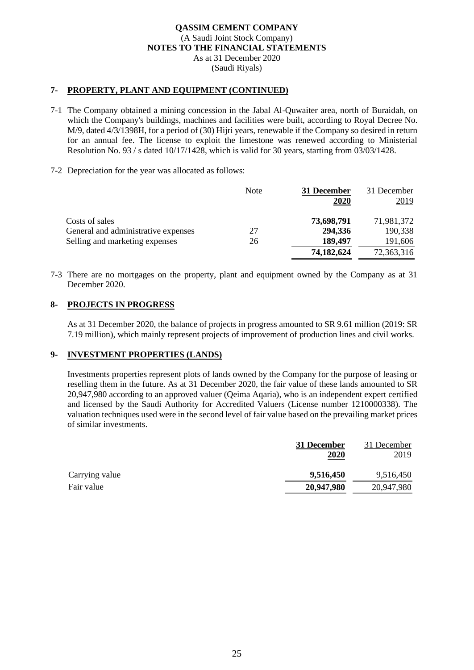# **7- PROPERTY, PLANT AND EQUIPMENT (CONTINUED)**

- 7-1 The Company obtained a mining concession in the Jabal Al-Quwaiter area, north of Buraidah, on which the Company's buildings, machines and facilities were built, according to Royal Decree No. M/9, dated 4/3/1398H, for a period of (30) Hijri years, renewable if the Company so desired in return for an annual fee. The license to exploit the limestone was renewed according to Ministerial Resolution No. 93 / s dated 10/17/1428, which is valid for 30 years, starting from 03/03/1428.
- 7-2 Depreciation for the year was allocated as follows:

|                                     | <b>Note</b> | 31 December | 31 December |
|-------------------------------------|-------------|-------------|-------------|
|                                     |             | 2020        | 2019        |
| Costs of sales                      |             | 73,698,791  | 71,981,372  |
| General and administrative expenses | 27          | 294,336     | 190,338     |
| Selling and marketing expenses      | 26          | 189,497     | 191,606     |
|                                     |             | 74,182,624  | 72,363,316  |

7-3 There are no mortgages on the property, plant and equipment owned by the Company as at 31 December 2020.

# **8- PROJECTS IN PROGRESS**

As at 31 December 2020, the balance of projects in progress amounted to SR 9.61 million (2019: SR 7.19 million), which mainly represent projects of improvement of production lines and civil works.

# **9- INVESTMENT PROPERTIES (LANDS)**

Investments properties represent plots of lands owned by the Company for the purpose of leasing or reselling them in the future. As at 31 December 2020, the fair value of these lands amounted to SR 20,947,980 according to an approved valuer (Qeima Aqaria), who is an independent expert certified and licensed by the Saudi Authority for Accredited Valuers (License number 1210000338). The valuation techniques used were in the second level of fair value based on the prevailing market prices of similar investments.

|                | 31 December | 31 December |
|----------------|-------------|-------------|
|                | 2020        | 2019        |
| Carrying value | 9,516,450   | 9,516,450   |
| Fair value     | 20,947,980  | 20,947,980  |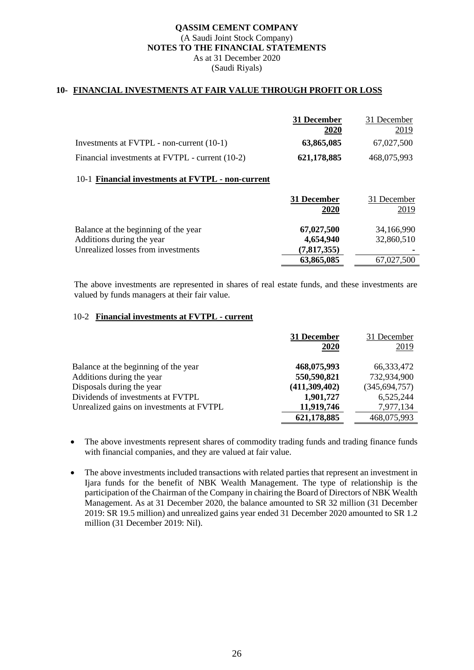# **10- FINANCIAL INVESTMENTS AT FAIR VALUE THROUGH PROFIT OR LOSS**

|                                                 | 31 December | 31 December |
|-------------------------------------------------|-------------|-------------|
|                                                 | <b>2020</b> | 2019        |
| Investments at FVTPL - non-current (10-1)       | 63.865.085  | 67.027.500  |
| Financial investments at FVTPL - current (10-2) | 621,178,885 | 468,075,993 |

#### 10-1 **Financial investments at FVTPL - non-current**

|                                      | 31 December<br>2020 | 31 December<br>2019 |
|--------------------------------------|---------------------|---------------------|
| Balance at the beginning of the year | 67,027,500          | 34,166,990          |
| Additions during the year            | 4,654,940           | 32,860,510          |
| Unrealized losses from investments   | (7,817,355)         |                     |
|                                      | 63,865,085          | 67,027,500          |

The above investments are represented in shares of real estate funds, and these investments are valued by funds managers at their fair value.

# 10-2 **Financial investments at FVTPL - current**

|                                          | 31 December   | 31 December     |
|------------------------------------------|---------------|-----------------|
|                                          | 2020          | 2019            |
| Balance at the beginning of the year     | 468,075,993   | 66,333,472      |
| Additions during the year                | 550,590,821   | 732,934,900     |
| Disposals during the year                | (411,309,402) | (345, 694, 757) |
| Dividends of investments at FVTPL        | 1,901,727     | 6,525,244       |
| Unrealized gains on investments at FVTPL | 11,919,746    | 7,977,134       |
|                                          | 621,178,885   | 468,075,993     |

- The above investments represent shares of commodity trading funds and trading finance funds with financial companies, and they are valued at fair value.
- The above investments included transactions with related parties that represent an investment in Ijara funds for the benefit of NBK Wealth Management. The type of relationship is the participation of the Chairman of the Company in chairing the Board of Directors of NBK Wealth Management. As at 31 December 2020, the balance amounted to SR 32 million (31 December 2019: SR 19.5 million) and unrealized gains year ended 31 December 2020 amounted to SR 1.2 million (31 December 2019: Nil).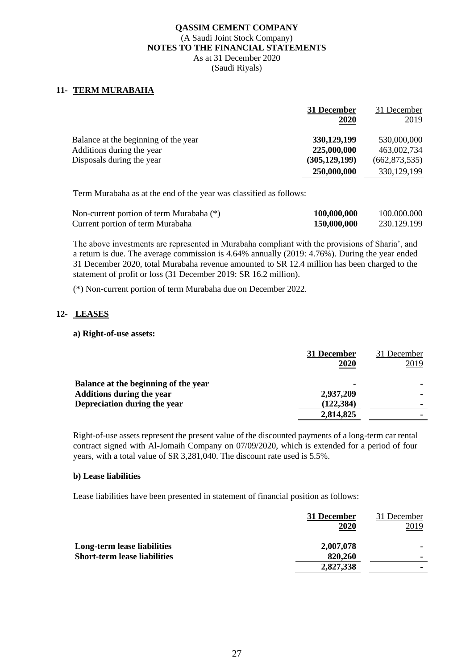(Saudi Riyals)

# **11- TERM MURABAHA**

|                                      | 31 December<br>2020 | 31 December<br>2019 |
|--------------------------------------|---------------------|---------------------|
| Balance at the beginning of the year | 330,129,199         | 530,000,000         |
| Additions during the year            | 225,000,000         | 463,002,734         |
| Disposals during the year            | (305, 129, 199)     | (662, 873, 535)     |
|                                      | 250,000,000         | 330, 129, 199       |
|                                      |                     |                     |

Term Murabaha as at the end of the year was classified as follows:

| Non-current portion of term Murabaha (*) | 100,000,000 | 100.000.000 |
|------------------------------------------|-------------|-------------|
| Current portion of term Murabaha         | 150,000,000 | 230.129.199 |

The above investments are represented in Murabaha compliant with the provisions of Sharia', and a return is due. The average commission is 4.64% annually (2019: 4.76%). During the year ended 31 December 2020, total Murabaha revenue amounted to SR 12.4 million has been charged to the statement of profit or loss (31 December 2019: SR 16.2 million).

(\*) Non-current portion of term Murabaha due on December 2022.

# **12- LEASES**

### **a) Right-of-use assets:**

|                                      | 31 December<br>2020 | 31 December<br>2019 |
|--------------------------------------|---------------------|---------------------|
| Balance at the beginning of the year |                     |                     |
| <b>Additions during the year</b>     | 2,937,209           |                     |
| Depreciation during the year         | (122, 384)          |                     |
|                                      | 2,814,825           |                     |

Right-of-use assets represent the present value of the discounted payments of a long-term car rental contract signed with Al-Jomaih Company on 07/09/2020, which is extended for a period of four years, with a total value of SR 3,281,040. The discount rate used is 5.5%.

# **b) Lease liabilities**

Lease liabilities have been presented in statement of financial position as follows:

|                                     | 31 December<br>2020 | 31 December<br>2019 |
|-------------------------------------|---------------------|---------------------|
| Long-term lease liabilities         | 2,007,078           |                     |
| <b>Short-term lease liabilities</b> | 820,260             |                     |
|                                     | 2,827,338           |                     |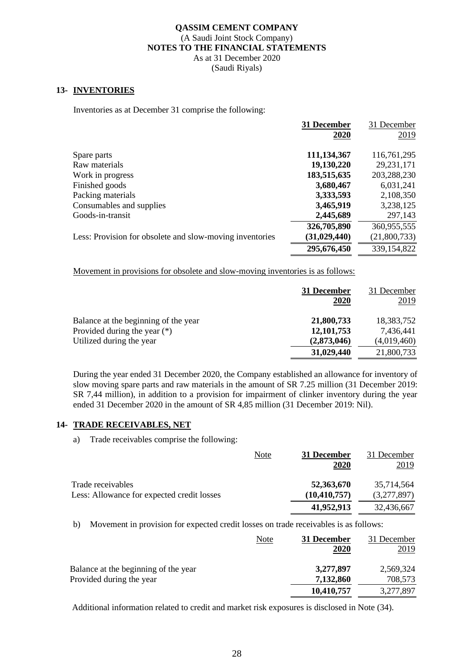# **13- INVENTORIES**

Inventories as at December 31 comprise the following:

|                                                          | 31 December    | 31 December  |
|----------------------------------------------------------|----------------|--------------|
|                                                          | 2020           | 2019         |
| Spare parts                                              | 111,134,367    | 116,761,295  |
| Raw materials                                            | 19,130,220     | 29,231,171   |
| Work in progress                                         | 183,515,635    | 203,288,230  |
| Finished goods                                           | 3,680,467      | 6,031,241    |
| Packing materials                                        | 3,333,593      | 2,108,350    |
| Consumables and supplies                                 | 3,465,919      | 3,238,125    |
| Goods-in-transit                                         | 2,445,689      | 297,143      |
|                                                          | 326,705,890    | 360,955,555  |
| Less: Provision for obsolete and slow-moving inventories | (31, 029, 440) | (21,800,733) |
|                                                          | 295,676,450    | 339,154,822  |

Movement in provisions for obsolete and slow-moving inventories is as follows:

|                                      | 31 December<br>2020 | 31 December<br>2019 |
|--------------------------------------|---------------------|---------------------|
| Balance at the beginning of the year | 21,800,733          | 18,383,752          |
| Provided during the year $(*)$       | 12, 101, 753        | 7,436,441           |
| Utilized during the year             | (2,873,046)         | (4,019,460)         |
|                                      | 31,029,440          | 21,800,733          |
|                                      |                     |                     |

During the year ended 31 December 2020, the Company established an allowance for inventory of slow moving spare parts and raw materials in the amount of SR 7.25 million (31 December 2019: SR 7,44 million), in addition to a provision for impairment of clinker inventory during the year ended 31 December 2020 in the amount of SR 4,85 million (31 December 2019: Nil).

# **14- TRADE RECEIVABLES, NET**

a) Trade receivables comprise the following:

|                                            | Note | 31 December<br>2020 | 31 December<br>2019 |
|--------------------------------------------|------|---------------------|---------------------|
| Trade receivables                          |      | 52,363,670          | 35,714,564          |
| Less: Allowance for expected credit losses |      | (10, 410, 757)      | (3,277,897)         |
|                                            |      | 41,952,913          | 32,436,667          |

b) Movement in provision for expected credit losses on trade receivables is as follows:

|                                      | Note | 31 December<br>2020 | 31 December<br>2019 |
|--------------------------------------|------|---------------------|---------------------|
| Balance at the beginning of the year |      | 3,277,897           | 2,569,324           |
| Provided during the year             |      | 7,132,860           | 708,573             |
|                                      |      | 10,410,757          | 3,277,897           |

Additional information related to credit and market risk exposures is disclosed in Note (34).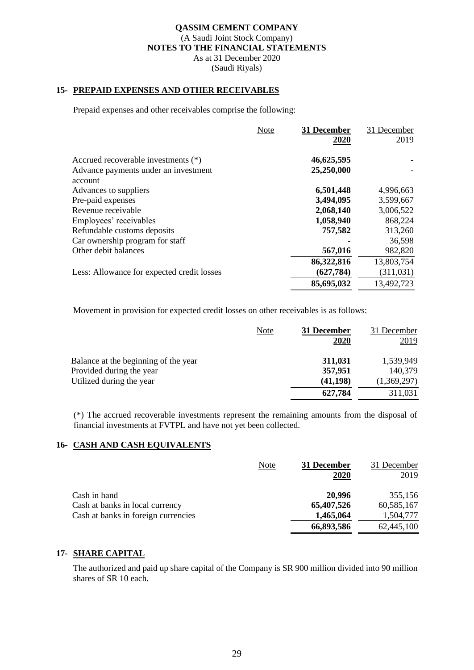# **15- PREPAID EXPENSES AND OTHER RECEIVABLES**

Prepaid expenses and other receivables comprise the following:

|                                            | Note | 31 December | 31 December |
|--------------------------------------------|------|-------------|-------------|
|                                            |      | 2020        | 2019        |
| Accrued recoverable investments (*)        |      | 46,625,595  |             |
| Advance payments under an investment       |      | 25,250,000  |             |
| account                                    |      |             |             |
| Advances to suppliers                      |      | 6,501,448   | 4,996,663   |
| Pre-paid expenses                          |      | 3,494,095   | 3,599,667   |
| Revenue receivable                         |      | 2,068,140   | 3,006,522   |
| Employees' receivables                     |      | 1,058,940   | 868,224     |
| Refundable customs deposits                |      | 757,582     | 313,260     |
| Car ownership program for staff            |      |             | 36,598      |
| Other debit balances                       |      | 567,016     | 982,820     |
|                                            |      | 86,322,816  | 13,803,754  |
| Less: Allowance for expected credit losses |      | (627, 784)  | (311, 031)  |
|                                            |      | 85,695,032  | 13,492,723  |

Movement in provision for expected credit losses on other receivables is as follows:

|                                      | <b>Note</b> | 31 December<br>2020 | 31 December<br>2019 |
|--------------------------------------|-------------|---------------------|---------------------|
| Balance at the beginning of the year |             | 311,031             | 1,539,949           |
| Provided during the year             |             | 357,951             | 140,379             |
| Utilized during the year             |             | (41, 198)           | (1,369,297)         |
|                                      |             | 627,784             | 311,031             |

(\*) The accrued recoverable investments represent the remaining amounts from the disposal of financial investments at FVTPL and have not yet been collected.

# **16- CASH AND CASH EQUIVALENTS**

|                                     | <b>Note</b> | 31 December<br>2020 | 31 December<br>2019 |
|-------------------------------------|-------------|---------------------|---------------------|
| Cash in hand                        |             | 20,996              | 355,156             |
| Cash at banks in local currency     |             | 65,407,526          | 60,585,167          |
| Cash at banks in foreign currencies |             | 1,465,064           | 1,504,777           |
|                                     |             | 66,893,586          | 62,445,100          |

# **17- SHARE CAPITAL**

The authorized and paid up share capital of the Company is SR 900 million divided into 90 million shares of SR 10 each.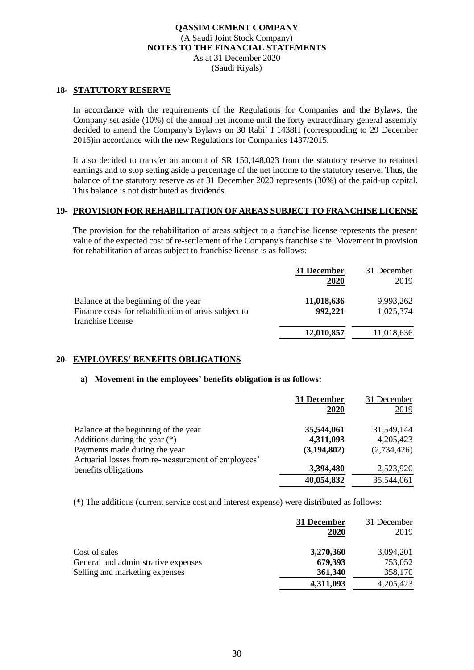# **18- STATUTORY RESERVE**

In accordance with the requirements of the Regulations for Companies and the Bylaws, the Company set aside (10%) of the annual net income until the forty extraordinary general assembly decided to amend the Company's Bylaws on 30 Rabi` I 1438H (corresponding to 29 December 2016)in accordance with the new Regulations for Companies 1437/2015.

It also decided to transfer an amount of SR 150,148,023 from the statutory reserve to retained earnings and to stop setting aside a percentage of the net income to the statutory reserve. Thus, the balance of the statutory reserve as at 31 December 2020 represents (30%) of the paid-up capital. This balance is not distributed as dividends.

# **19- PROVISION FOR REHABILITATION OF AREAS SUBJECT TO FRANCHISE LICENSE**

The provision for the rehabilitation of areas subject to a franchise license represents the present value of the expected cost of re-settlement of the Company's franchise site. Movement in provision for rehabilitation of areas subject to franchise license is as follows:

|                                                                           | 31 December | 31 December |
|---------------------------------------------------------------------------|-------------|-------------|
|                                                                           | 2020        | 2019        |
| Balance at the beginning of the year                                      | 11,018,636  | 9,993,262   |
| Finance costs for rehabilitation of areas subject to<br>franchise license | 992,221     | 1,025,374   |
|                                                                           | 12,010,857  | 11,018,636  |

# **20- EMPLOYEES' BENEFITS OBLIGATIONS**

# **a) Movement in the employees' benefits obligation is as follows:**

|                                                                                     | 31 December<br>2020 | 31 December<br>2019 |
|-------------------------------------------------------------------------------------|---------------------|---------------------|
| Balance at the beginning of the year                                                | 35,544,061          | 31,549,144          |
| Additions during the year $(*)$                                                     | 4,311,093           | 4,205,423           |
| Payments made during the year<br>Actuarial losses from re-measurement of employees' | (3, 194, 802)       | (2,734,426)         |
| benefits obligations                                                                | 3,394,480           | 2,523,920           |
|                                                                                     | 40,054,832          | 35,544,061          |

(\*) The additions (current service cost and interest expense) were distributed as follows:

|                                     | 31 December<br>2020 | 31 December<br>2019 |
|-------------------------------------|---------------------|---------------------|
| Cost of sales                       | 3,270,360           | 3,094,201           |
| General and administrative expenses | 679,393             | 753,052             |
| Selling and marketing expenses      | 361,340             | 358,170             |
|                                     | 4,311,093           | 4,205,423           |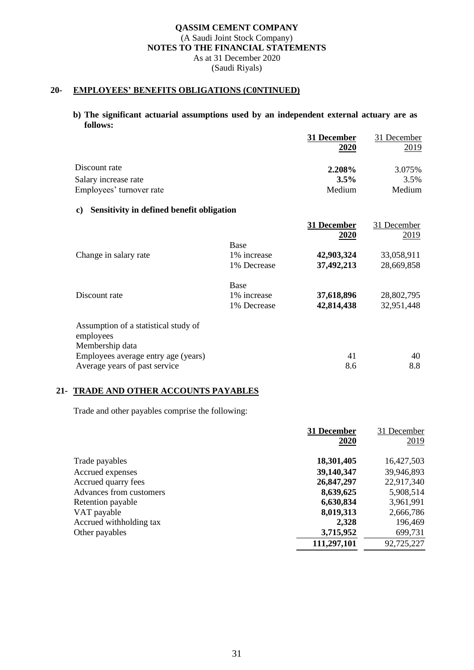# **20- EMPLOYEES' BENEFITS OBLIGATIONS (C0NTINUED)**

**b) The significant actuarial assumptions used by an independent external actuary are as follows:**

|                          | 31 December<br>2020 | 31 December<br>2019 |
|--------------------------|---------------------|---------------------|
| Discount rate            | 2.208%              | 3.075%              |
| Salary increase rate     | $3.5\%$             | 3.5%                |
| Employees' turnover rate | Medium              | Medium              |

# **c) Sensitivity in defined benefit obligation**

|                                      |              | 31 December | 31 December |
|--------------------------------------|--------------|-------------|-------------|
|                                      |              | 2020        | 2019        |
|                                      | Base         |             |             |
| Change in salary rate                | 1\% increase | 42,903,324  | 33,058,911  |
|                                      | 1% Decrease  | 37,492,213  | 28,669,858  |
|                                      | Base         |             |             |
| Discount rate                        | 1\% increase | 37,618,896  | 28,802,795  |
|                                      | 1% Decrease  | 42,814,438  | 32,951,448  |
| Assumption of a statistical study of |              |             |             |
| employees                            |              |             |             |
| Membership data                      |              |             |             |
| Employees average entry age (years)  |              | 41          | 40          |
| Average years of past service        |              | 8.6         | 8.8         |

# **21- TRADE AND OTHER ACCOUNTS PAYABLES**

Trade and other payables comprise the following:

|                         | 31 December | 31 December |
|-------------------------|-------------|-------------|
|                         | 2020        | 2019        |
| Trade payables          | 18,301,405  | 16,427,503  |
| Accrued expenses        | 39,140,347  | 39,946,893  |
| Accrued quarry fees     | 26,847,297  | 22,917,340  |
| Advances from customers | 8,639,625   | 5,908,514   |
| Retention payable       | 6,630,834   | 3,961,991   |
| VAT payable             | 8,019,313   | 2,666,786   |
| Accrued withholding tax | 2,328       | 196,469     |
| Other payables          | 3,715,952   | 699,731     |
|                         | 111,297,101 | 92,725,227  |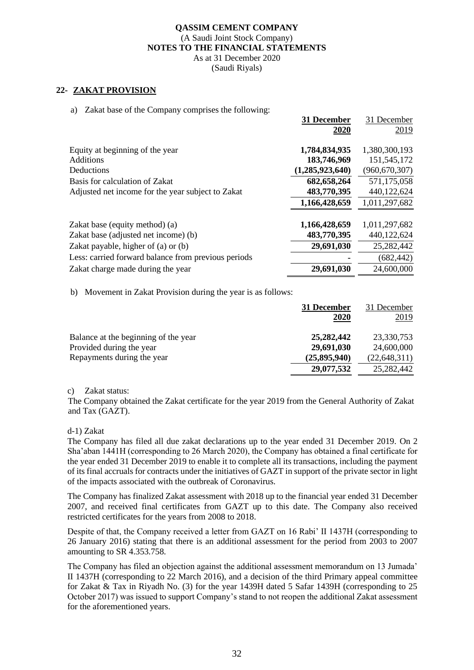# **22- ZAKAT PROVISION**

a) Zakat base of the Company comprises the following:

|                                                     | 31 December     | 31 December     |
|-----------------------------------------------------|-----------------|-----------------|
|                                                     | 2020            | 2019            |
| Equity at beginning of the year                     | 1,784,834,935   | 1,380,300,193   |
| <b>Additions</b>                                    | 183,746,969     | 151, 545, 172   |
| Deductions                                          | (1,285,923,640) | (960, 670, 307) |
| Basis for calculation of Zakat                      | 682, 658, 264   | 571,175,058     |
| Adjusted net income for the year subject to Zakat   | 483,770,395     | 440,122,624     |
|                                                     | 1,166,428,659   | 1,011,297,682   |
| Zakat base (equity method) (a)                      | 1,166,428,659   | 1,011,297,682   |
| Zakat base (adjusted net income) (b)                | 483,770,395     | 440,122,624     |
| Zakat payable, higher of $(a)$ or $(b)$             | 29,691,030      | 25, 282, 442    |
| Less: carried forward balance from previous periods |                 | (682, 442)      |
| Zakat charge made during the year                   | 29,691,030      | 24,600,000      |

b) Movement in Zakat Provision during the year is as follows:

|                                      | 31 December  | 31 December    |
|--------------------------------------|--------------|----------------|
|                                      | 2020         | 2019           |
| Balance at the beginning of the year | 25, 282, 442 | 23,330,753     |
| Provided during the year             | 29,691,030   | 24,600,000     |
| Repayments during the year           | (25,895,940) | (22, 648, 311) |
|                                      | 29,077,532   | 25, 282, 442   |

c) Zakat status:

The Company obtained the Zakat certificate for the year 2019 from the General Authority of Zakat and Tax (GAZT).

#### d-1) Zakat

The Company has filed all due zakat declarations up to the year ended 31 December 2019. On 2 Sha'aban 1441H (corresponding to 26 March 2020), the Company has obtained a final certificate for the year ended 31 December 2019 to enable it to complete all its transactions, including the payment of its final accruals for contracts under the initiatives of GAZT in support of the private sector in light of the impacts associated with the outbreak of Coronavirus.

The Company has finalized Zakat assessment with 2018 up to the financial year ended 31 December 2007, and received final certificates from GAZT up to this date. The Company also received restricted certificates for the years from 2008 to 2018.

Despite of that, the Company received a letter from GAZT on 16 Rabi' II 1437H (corresponding to 26 January 2016) stating that there is an additional assessment for the period from 2003 to 2007 amounting to SR 4.353.758.

The Company has filed an objection against the additional assessment memorandum on 13 Jumada' II 1437H (corresponding to 22 March 2016), and a decision of the third Primary appeal committee for Zakat & Tax in Riyadh No. (3) for the year 1439H dated 5 Safar 1439H (corresponding to 25 October 2017) was issued to support Company's stand to not reopen the additional Zakat assessment for the aforementioned years.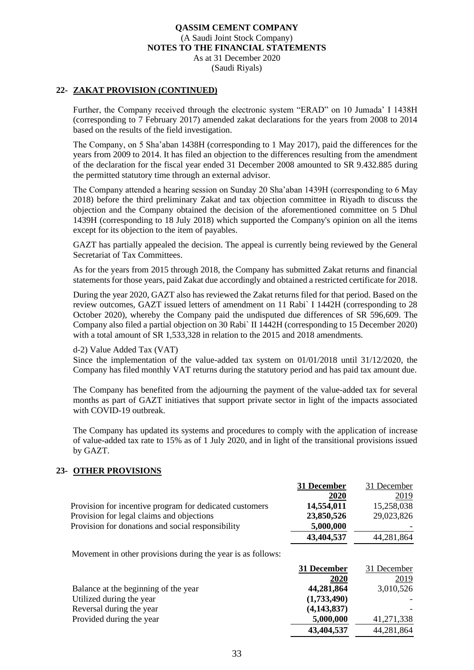# **22- ZAKAT PROVISION (CONTINUED)**

Further, the Company received through the electronic system "ERAD" on 10 Jumada' I 1438H (corresponding to 7 February 2017) amended zakat declarations for the years from 2008 to 2014 based on the results of the field investigation.

The Company, on 5 Sha'aban 1438H (corresponding to 1 May 2017), paid the differences for the years from 2009 to 2014. It has filed an objection to the differences resulting from the amendment of the declaration for the fiscal year ended 31 December 2008 amounted to SR 9.432.885 during the permitted statutory time through an external advisor.

The Company attended a hearing session on Sunday 20 Sha'aban 1439H (corresponding to 6 May 2018) before the third preliminary Zakat and tax objection committee in Riyadh to discuss the objection and the Company obtained the decision of the aforementioned committee on 5 Dhul 1439H (corresponding to 18 July 2018) which supported the Company's opinion on all the items except for its objection to the item of payables.

GAZT has partially appealed the decision. The appeal is currently being reviewed by the General Secretariat of Tax Committees.

As for the years from 2015 through 2018, the Company has submitted Zakat returns and financial statements for those years, paid Zakat due accordingly and obtained a restricted certificate for 2018.

During the year 2020, GAZT also has reviewed the Zakat returns filed for that period. Based on the review outcomes, GAZT issued letters of amendment on 11 Rabi` I 1442H (corresponding to 28 October 2020), whereby the Company paid the undisputed due differences of SR 596,609. The Company also filed a partial objection on 30 Rabi` II 1442H (corresponding to 15 December 2020) with a total amount of SR 1,533,328 in relation to the 2015 and 2018 amendments.

#### d-2) Value Added Tax (VAT)

Since the implementation of the value-added tax system on 01/01/2018 until 31/12/2020, the Company has filed monthly VAT returns during the statutory period and has paid tax amount due.

The Company has benefited from the adjourning the payment of the value-added tax for several months as part of GAZT initiatives that support private sector in light of the impacts associated with COVID-19 outbreak.

The Company has updated its systems and procedures to comply with the application of increase of value-added tax rate to 15% as of 1 July 2020, and in light of the transitional provisions issued by GAZT.

# **23- OTHER PROVISIONS**

|                                                         | 31 December | 31 December |
|---------------------------------------------------------|-------------|-------------|
|                                                         | 2020        | 2019        |
| Provision for incentive program for dedicated customers | 14,554,011  | 15,258,038  |
| Provision for legal claims and objections               | 23,850,526  | 29,023,826  |
| Provision for donations and social responsibility       | 5,000,000   |             |
|                                                         | 43,404,537  | 44,281,864  |

Movement in other provisions during the year is as follows:

|                                      | 31 December   | 31 December |
|--------------------------------------|---------------|-------------|
|                                      | 2020          | 2019        |
| Balance at the beginning of the year | 44,281,864    | 3,010,526   |
| Utilized during the year             | (1,733,490)   |             |
| Reversal during the year             | (4, 143, 837) |             |
| Provided during the year             | 5,000,000     | 41,271,338  |
|                                      | 43,404,537    | 44,281,864  |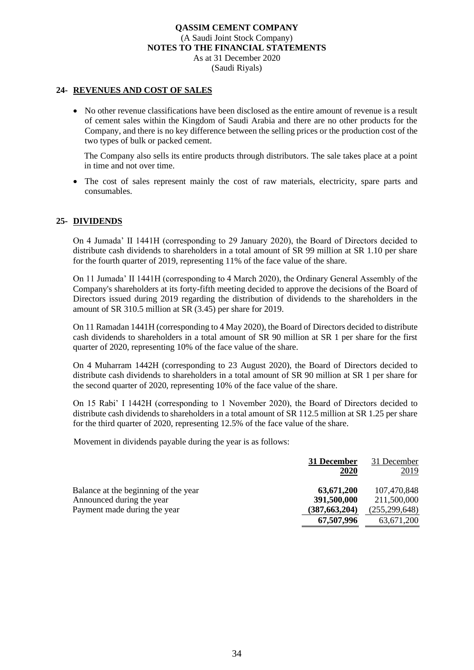# **24- REVENUES AND COST OF SALES**

• No other revenue classifications have been disclosed as the entire amount of revenue is a result of cement sales within the Kingdom of Saudi Arabia and there are no other products for the Company, and there is no key difference between the selling prices or the production cost of the two types of bulk or packed cement.

The Company also sells its entire products through distributors. The sale takes place at a point in time and not over time.

• The cost of sales represent mainly the cost of raw materials, electricity, spare parts and consumables.

# **25- DIVIDENDS**

On 4 Jumada' II 1441H (corresponding to 29 January 2020), the Board of Directors decided to distribute cash dividends to shareholders in a total amount of SR 99 million at SR 1.10 per share for the fourth quarter of 2019, representing 11% of the face value of the share.

On 11 Jumada' II 1441H (corresponding to 4 March 2020), the Ordinary General Assembly of the Company's shareholders at its forty-fifth meeting decided to approve the decisions of the Board of Directors issued during 2019 regarding the distribution of dividends to the shareholders in the amount of SR 310.5 million at SR (3.45) per share for 2019.

On 11 Ramadan 1441H (corresponding to 4 May 2020), the Board of Directors decided to distribute cash dividends to shareholders in a total amount of SR 90 million at SR 1 per share for the first quarter of 2020, representing 10% of the face value of the share.

On 4 Muharram 1442H (corresponding to 23 August 2020), the Board of Directors decided to distribute cash dividends to shareholders in a total amount of SR 90 million at SR 1 per share for the second quarter of 2020, representing 10% of the face value of the share.

On 15 Rabi' I 1442H (corresponding to 1 November 2020), the Board of Directors decided to distribute cash dividends to shareholders in a total amount of SR 112.5 million at SR 1.25 per share for the third quarter of 2020, representing 12.5% of the face value of the share.

Movement in dividends payable during the year is as follows:

|                                      | 31 December<br>2020 | 31 December<br>2019 |
|--------------------------------------|---------------------|---------------------|
| Balance at the beginning of the year | 63,671,200          | 107,470,848         |
| Announced during the year            | 391,500,000         | 211,500,000         |
| Payment made during the year         | (387, 663, 204)     | (255, 299, 648)     |
|                                      | 67,507,996          | 63,671,200          |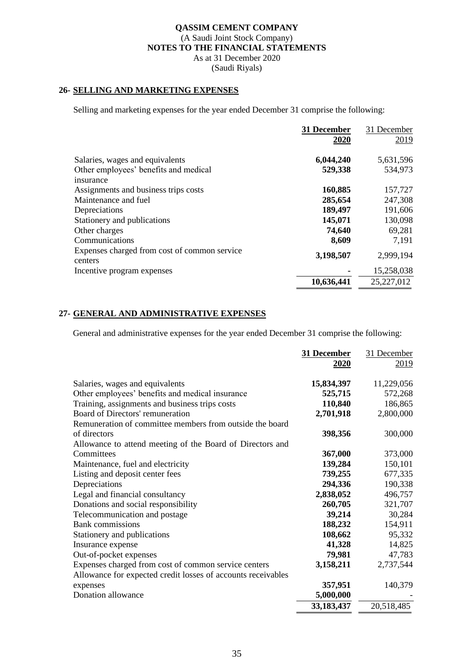# **26- SELLING AND MARKETING EXPENSES**

Selling and marketing expenses for the year ended December 31 comprise the following:

|                                                         | 31 December | 31 December |
|---------------------------------------------------------|-------------|-------------|
|                                                         | 2020        | 2019        |
| Salaries, wages and equivalents                         | 6,044,240   | 5,631,596   |
| Other employees' benefits and medical                   | 529,338     | 534,973     |
| insurance                                               |             |             |
| Assignments and business trips costs                    | 160,885     | 157,727     |
| Maintenance and fuel                                    | 285,654     | 247,308     |
| Depreciations                                           | 189,497     | 191,606     |
| Stationery and publications                             | 145,071     | 130,098     |
| Other charges                                           | 74,640      | 69,281      |
| Communications                                          | 8,609       | 7,191       |
| Expenses charged from cost of common service<br>centers | 3,198,507   | 2,999,194   |
| Incentive program expenses                              |             | 15,258,038  |
|                                                         | 10,636,441  | 25,227,012  |

# **27- GENERAL AND ADMINISTRATIVE EXPENSES**

General and administrative expenses for the year ended December 31 comprise the following:

|                                                              | 31 December  | 31 December |
|--------------------------------------------------------------|--------------|-------------|
|                                                              | 2020         | 2019        |
| Salaries, wages and equivalents                              | 15,834,397   | 11,229,056  |
| Other employees' benefits and medical insurance              | 525,715      | 572,268     |
| Training, assignments and business trips costs               | 110,840      | 186,865     |
| Board of Directors' remuneration                             | 2,701,918    | 2,800,000   |
| Remuneration of committee members from outside the board     |              |             |
| of directors                                                 | 398,356      | 300,000     |
| Allowance to attend meeting of the Board of Directors and    |              |             |
| Committees                                                   | 367,000      | 373,000     |
| Maintenance, fuel and electricity                            | 139,284      | 150,101     |
| Listing and deposit center fees                              | 739,255      | 677,335     |
| Depreciations                                                | 294,336      | 190,338     |
|                                                              |              |             |
| Legal and financial consultancy                              | 2,838,052    | 496,757     |
| Donations and social responsibility                          | 260,705      | 321,707     |
| Telecommunication and postage                                | 39,214       | 30,284      |
| <b>Bank</b> commissions                                      | 188,232      | 154,911     |
| Stationery and publications                                  | 108,662      | 95,332      |
| Insurance expense                                            | 41,328       | 14,825      |
| Out-of-pocket expenses                                       | 79,981       | 47,783      |
| Expenses charged from cost of common service centers         | 3,158,211    | 2,737,544   |
| Allowance for expected credit losses of accounts receivables |              |             |
| expenses                                                     | 357,951      | 140,379     |
| Donation allowance                                           | 5,000,000    |             |
|                                                              | 33, 183, 437 | 20,518,485  |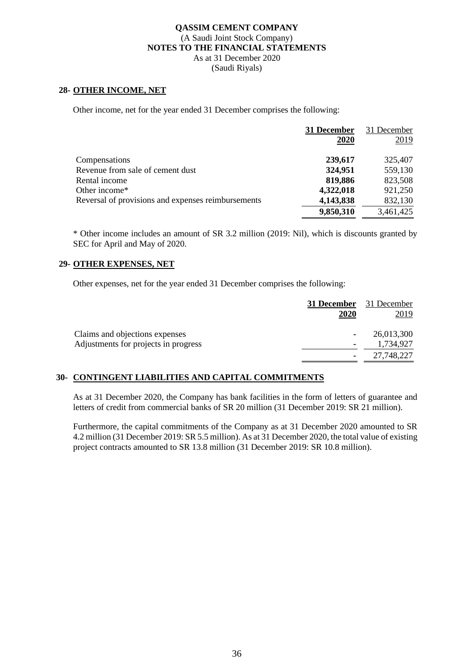# **28- OTHER INCOME, NET**

Other income, net for the year ended 31 December comprises the following:

|                                                    | 31 December | 31 December |
|----------------------------------------------------|-------------|-------------|
|                                                    | 2020        | 2019        |
| Compensations                                      | 239,617     | 325,407     |
| Revenue from sale of cement dust                   | 324,951     | 559,130     |
| Rental income                                      | 819,886     | 823,508     |
| Other income*                                      | 4,322,018   | 921,250     |
| Reversal of provisions and expenses reimbursements | 4,143,838   | 832,130     |
|                                                    | 9,850,310   | 3,461,425   |

\* Other income includes an amount of SR 3.2 million (2019: Nil), which is discounts granted by SEC for April and May of 2020.

# **29- OTHER EXPENSES, NET**

Other expenses, net for the year ended 31 December comprises the following:

|                                      | <b>31 December</b> 31 December |            |
|--------------------------------------|--------------------------------|------------|
|                                      | <b>2020</b>                    | 2019       |
| Claims and objections expenses       | $\blacksquare$                 | 26,013,300 |
| Adjustments for projects in progress | ٠                              | 1,734,927  |
|                                      | ٠                              | 27.748.227 |

# **30- CONTINGENT LIABILITIES AND CAPITAL COMMITMENTS**

As at 31 December 2020, the Company has bank facilities in the form of letters of guarantee and letters of credit from commercial banks of SR 20 million (31 December 2019: SR 21 million).

Furthermore, the capital commitments of the Company as at 31 December 2020 amounted to SR 4.2 million (31 December 2019: SR 5.5 million). As at 31 December 2020, the total value of existing project contracts amounted to SR 13.8 million (31 December 2019: SR 10.8 million).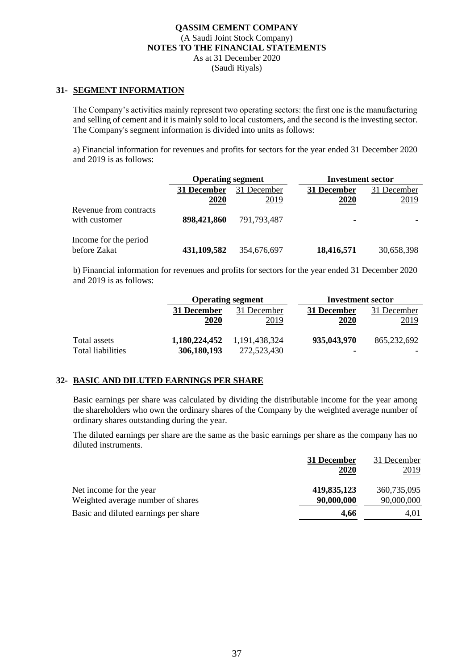# **31- SEGMENT INFORMATION**

The Company's activities mainly represent two operating sectors: the first one is the manufacturing and selling of cement and it is mainly sold to local customers, and the second is the investing sector. The Company's segment information is divided into units as follows:

a) Financial information for revenues and profits for sectors for the year ended 31 December 2020 and 2019 is as follows:

|                                         | <b>Operating segment</b> |                     | <b>Investment sector</b> |                     |
|-----------------------------------------|--------------------------|---------------------|--------------------------|---------------------|
|                                         | 31 December<br>2020      | 31 December<br>2019 | 31 December<br>2020      | 31 December<br>2019 |
| Revenue from contracts<br>with customer | 898,421,860              | 791,793,487         | ٠                        |                     |
| Income for the period<br>before Zakat   | 431,109,582              | 354,676,697         | 18,416,571               | 30,658,398          |

b) Financial information for revenues and profits for sectors for the year ended 31 December 2020 and 2019 is as follows:

|                          |               | <b>Operating segment</b> |             | <b>Investment sector</b> |  |
|--------------------------|---------------|--------------------------|-------------|--------------------------|--|
|                          | 31 December   | 31 December              | 31 December | 31 December              |  |
|                          | 2020          | 2019                     | 2020        | 2019                     |  |
| Total assets             | 1,180,224,452 | 1,191,438,324            | 935,043,970 | 865,232,692              |  |
| <b>Total liabilities</b> | 306,180,193   | 272,523,430              |             |                          |  |

# **32- BASIC AND DILUTED EARNINGS PER SHARE**

Basic earnings per share was calculated by dividing the distributable income for the year among the shareholders who own the ordinary shares of the Company by the weighted average number of ordinary shares outstanding during the year.

The diluted earnings per share are the same as the basic earnings per share as the company has no diluted instruments.

|                                                              | 31 December<br>2020       | 31 December<br>2019       |
|--------------------------------------------------------------|---------------------------|---------------------------|
| Net income for the year<br>Weighted average number of shares | 419,835,123<br>90,000,000 | 360,735,095<br>90,000,000 |
| Basic and diluted earnings per share                         | 4.66                      | 4.01                      |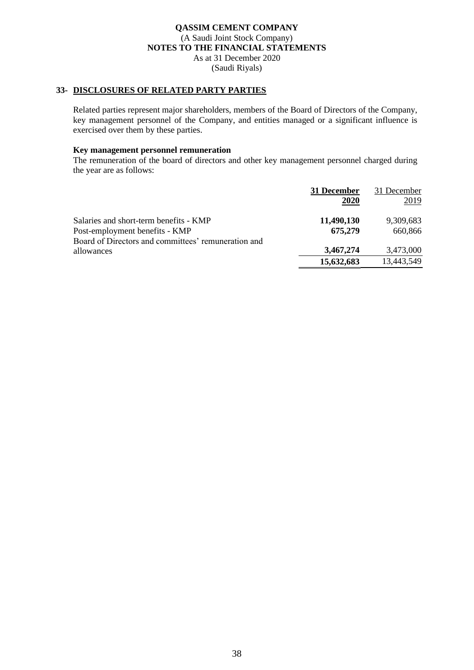# **33- DISCLOSURES OF RELATED PARTY PARTIES**

Related parties represent major shareholders, members of the Board of Directors of the Company, key management personnel of the Company, and entities managed or a significant influence is exercised over them by these parties.

# **Key management personnel remuneration**

The remuneration of the board of directors and other key management personnel charged during the year are as follows:

|                                                                   | 31 December<br>2020 | 31 December<br>2019 |
|-------------------------------------------------------------------|---------------------|---------------------|
| Salaries and short-term benefits - KMP                            | 11,490,130          | 9,309,683           |
| Post-employment benefits - KMP                                    | 675,279             | 660,866             |
| Board of Directors and committees' remuneration and<br>allowances | 3,467,274           | 3,473,000           |
|                                                                   | 15,632,683          | 13,443,549          |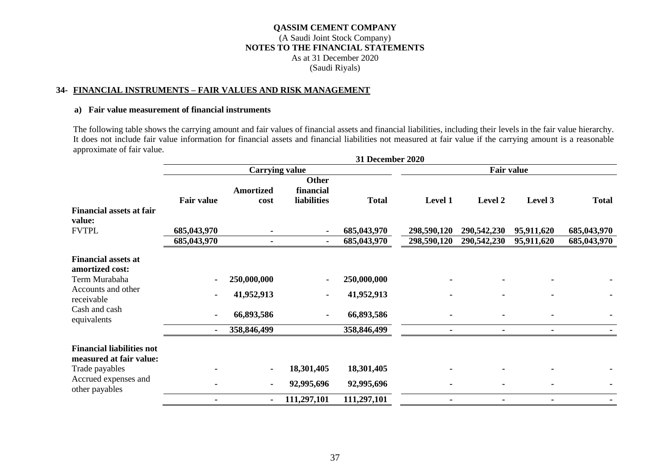# **34- FINANCIAL INSTRUMENTS – FAIR VALUES AND RISK MANAGEMENT**

# **a) Fair value measurement of financial instruments**

The following table shows the carrying amount and fair values of financial assets and financial liabilities, including their levels in the fair value hierarchy. It does not include fair value information for financial assets and financial liabilities not measured at fair value if the carrying amount is a reasonable approximate of fair value.

|                                                             | <b>31 December 2020</b> |                          |                                          |              |                   |                |                |              |
|-------------------------------------------------------------|-------------------------|--------------------------|------------------------------------------|--------------|-------------------|----------------|----------------|--------------|
|                                                             | <b>Carrying value</b>   |                          |                                          |              | <b>Fair value</b> |                |                |              |
|                                                             | <b>Fair value</b>       | <b>Amortized</b><br>cost | <b>Other</b><br>financial<br>liabilities | <b>Total</b> | Level 1           | Level 2        | Level 3        | <b>Total</b> |
| <b>Financial assets at fair</b><br>value:                   |                         |                          |                                          |              |                   |                |                |              |
| <b>FVTPL</b>                                                | 685,043,970             |                          | ٠                                        | 685,043,970  | 298,590,120       | 290,542,230    | 95,911,620     | 685,043,970  |
|                                                             | 685,043,970             | $\blacksquare$           | $\blacksquare$                           | 685,043,970  | 298,590,120       | 290,542,230    | 95,911,620     | 685,043,970  |
| <b>Financial assets at</b><br>amortized cost:               |                         |                          |                                          |              |                   |                |                |              |
| Term Murabaha                                               |                         | 250,000,000              | ۰                                        | 250,000,000  |                   | ۰.             |                |              |
| Accounts and other<br>receivable                            | ٠                       | 41,952,913               | ۰                                        | 41,952,913   |                   | $\blacksquare$ |                |              |
| Cash and cash<br>equivalents                                | ٠                       | 66,893,586               | $\blacksquare$                           | 66,893,586   |                   | $\blacksquare$ |                |              |
|                                                             | ٠.                      | 358,846,499              |                                          | 358,846,499  | $\blacksquare$    | $\blacksquare$ | $\blacksquare$ |              |
| <b>Financial liabilities not</b><br>measured at fair value: |                         |                          |                                          |              |                   |                |                |              |
| Trade payables                                              |                         | $\blacksquare$           | 18,301,405                               | 18,301,405   |                   | $\blacksquare$ |                |              |
| Accrued expenses and<br>other payables                      |                         | $\blacksquare$           | 92,995,696                               | 92,995,696   |                   | $\blacksquare$ |                |              |
|                                                             |                         | $\blacksquare$           | 111,297,101                              | 111,297,101  |                   | ۰              |                |              |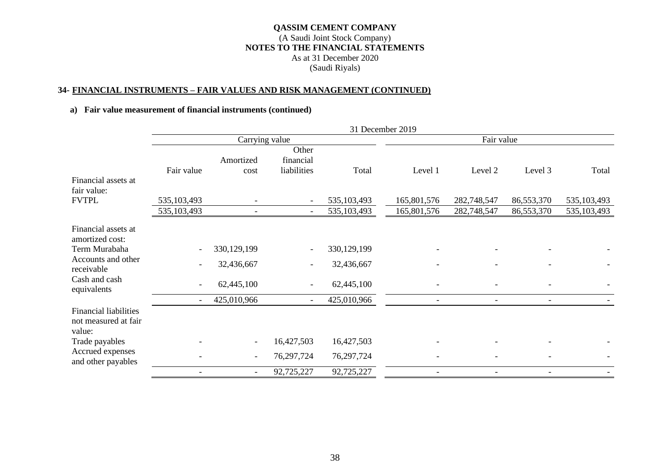# **34- FINANCIAL INSTRUMENTS – FAIR VALUES AND RISK MANAGEMENT (CONTINUED)**

# **a) Fair value measurement of financial instruments (continued)**

|                                                                | 31 December 2019         |                              |                          |             |                          |                              |            |             |
|----------------------------------------------------------------|--------------------------|------------------------------|--------------------------|-------------|--------------------------|------------------------------|------------|-------------|
|                                                                |                          | Carrying value               |                          |             | Fair value               |                              |            |             |
|                                                                |                          | Amortized                    | Other<br>financial       |             |                          |                              |            |             |
|                                                                | Fair value               | cost                         | liabilities              | Total       | Level 1                  | Level 2                      | Level 3    | Total       |
| Financial assets at<br>fair value:                             |                          |                              |                          |             |                          |                              |            |             |
| <b>FVTPL</b>                                                   | 535,103,493              | ۰                            | $\overline{\phantom{a}}$ | 535,103,493 | 165,801,576              | 282,748,547                  | 86,553,370 | 535,103,493 |
|                                                                | 535,103,493              | $\qquad \qquad \blacksquare$ | $\overline{\phantom{a}}$ | 535,103,493 | 165,801,576              | 282,748,547                  | 86,553,370 | 535,103,493 |
| Financial assets at<br>amortized cost:                         |                          |                              |                          |             |                          |                              |            |             |
| Term Murabaha                                                  |                          | 330,129,199                  | $\overline{\phantom{a}}$ | 330,129,199 |                          |                              |            |             |
| Accounts and other<br>receivable                               |                          | 32,436,667                   | $\overline{\phantom{a}}$ | 32,436,667  |                          |                              |            |             |
| Cash and cash<br>equivalents                                   | $\overline{\phantom{a}}$ | 62,445,100                   | $\overline{\phantom{a}}$ | 62,445,100  | $\overline{\phantom{a}}$ | $\qquad \qquad \blacksquare$ |            |             |
|                                                                |                          | 425,010,966                  |                          | 425,010,966 |                          |                              |            |             |
| <b>Financial liabilities</b><br>not measured at fair<br>value: |                          |                              |                          |             |                          |                              |            |             |
| Trade payables                                                 |                          | $\overline{\phantom{a}}$     | 16,427,503               | 16,427,503  |                          |                              |            |             |
| Accrued expenses<br>and other payables                         |                          | $\overline{\phantom{a}}$     | 76,297,724               | 76,297,724  | $\overline{\phantom{a}}$ | $\overline{\phantom{a}}$     |            |             |
|                                                                |                          | $\qquad \qquad -$            | 92,725,227               | 92,725,227  |                          |                              |            |             |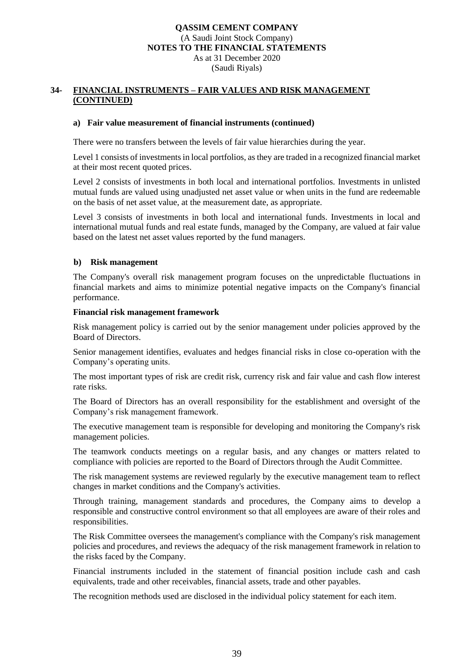# **34- FINANCIAL INSTRUMENTS – FAIR VALUES AND RISK MANAGEMENT (CONTINUED)**

### **a) Fair value measurement of financial instruments (continued)**

There were no transfers between the levels of fair value hierarchies during the year.

Level 1 consists of investments in local portfolios, as they are traded in a recognized financial market at their most recent quoted prices.

Level 2 consists of investments in both local and international portfolios. Investments in unlisted mutual funds are valued using unadjusted net asset value or when units in the fund are redeemable on the basis of net asset value, at the measurement date, as appropriate.

Level 3 consists of investments in both local and international funds. Investments in local and international mutual funds and real estate funds, managed by the Company, are valued at fair value based on the latest net asset values reported by the fund managers.

# **b) Risk management**

The Company's overall risk management program focuses on the unpredictable fluctuations in financial markets and aims to minimize potential negative impacts on the Company's financial performance.

#### **Financial risk management framework**

Risk management policy is carried out by the senior management under policies approved by the Board of Directors.

Senior management identifies, evaluates and hedges financial risks in close co-operation with the Company's operating units.

The most important types of risk are credit risk, currency risk and fair value and cash flow interest rate risks.

The Board of Directors has an overall responsibility for the establishment and oversight of the Company's risk management framework.

The executive management team is responsible for developing and monitoring the Company's risk management policies.

The teamwork conducts meetings on a regular basis, and any changes or matters related to compliance with policies are reported to the Board of Directors through the Audit Committee.

The risk management systems are reviewed regularly by the executive management team to reflect changes in market conditions and the Company's activities.

Through training, management standards and procedures, the Company aims to develop a responsible and constructive control environment so that all employees are aware of their roles and responsibilities.

The Risk Committee oversees the management's compliance with the Company's risk management policies and procedures, and reviews the adequacy of the risk management framework in relation to the risks faced by the Company.

Financial instruments included in the statement of financial position include cash and cash equivalents, trade and other receivables, financial assets, trade and other payables.

The recognition methods used are disclosed in the individual policy statement for each item.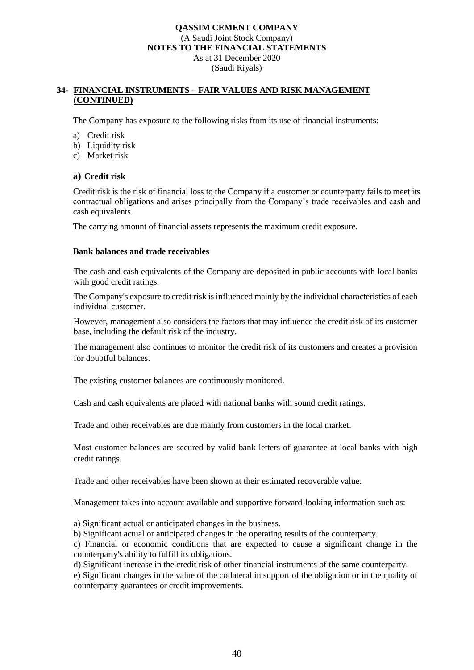# **34- FINANCIAL INSTRUMENTS – FAIR VALUES AND RISK MANAGEMENT (CONTINUED)**

The Company has exposure to the following risks from its use of financial instruments:

- a) Credit risk
- b) Liquidity risk
- c) Market risk

# **a) Credit risk**

Credit risk is the risk of financial loss to the Company if a customer or counterparty fails to meet its contractual obligations and arises principally from the Company's trade receivables and cash and cash equivalents.

The carrying amount of financial assets represents the maximum credit exposure.

#### **Bank balances and trade receivables**

The cash and cash equivalents of the Company are deposited in public accounts with local banks with good credit ratings.

The Company's exposure to credit risk is influenced mainly by the individual characteristics of each individual customer.

However, management also considers the factors that may influence the credit risk of its customer base, including the default risk of the industry.

The management also continues to monitor the credit risk of its customers and creates a provision for doubtful balances.

The existing customer balances are continuously monitored.

Cash and cash equivalents are placed with national banks with sound credit ratings.

Trade and other receivables are due mainly from customers in the local market.

Most customer balances are secured by valid bank letters of guarantee at local banks with high credit ratings.

Trade and other receivables have been shown at their estimated recoverable value.

Management takes into account available and supportive forward-looking information such as:

a) Significant actual or anticipated changes in the business.

b) Significant actual or anticipated changes in the operating results of the counterparty.

c) Financial or economic conditions that are expected to cause a significant change in the counterparty's ability to fulfill its obligations.

d) Significant increase in the credit risk of other financial instruments of the same counterparty.

e) Significant changes in the value of the collateral in support of the obligation or in the quality of counterparty guarantees or credit improvements.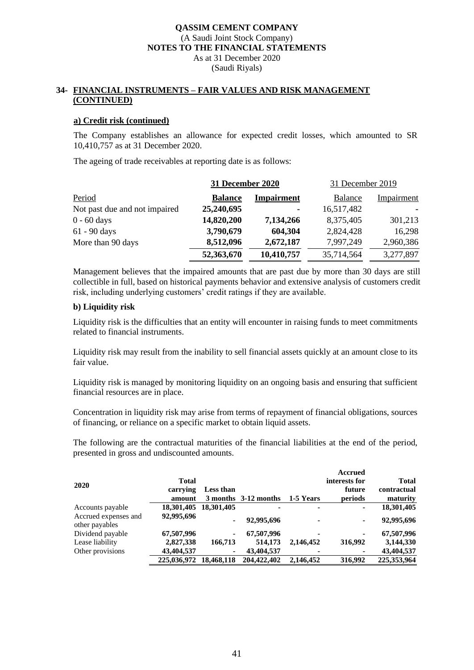# **34- FINANCIAL INSTRUMENTS – FAIR VALUES AND RISK MANAGEMENT (CONTINUED)**

# **a) Credit risk (continued)**

The Company establishes an allowance for expected credit losses, which amounted to SR 10,410,757 as at 31 December 2020.

The ageing of trade receivables at reporting date is as follows:

|                               | <b>31 December 2020</b> |                   | 31 December 2019 |            |  |
|-------------------------------|-------------------------|-------------------|------------------|------------|--|
| Period                        | <b>Balance</b>          | <b>Impairment</b> | Balance          | Impairment |  |
| Not past due and not impaired | 25,240,695              | $\blacksquare$    | 16,517,482       |            |  |
| $0 - 60$ days                 | 14,820,200              | 7,134,266         | 8,375,405        | 301,213    |  |
| $61 - 90 \text{ days}$        | 3,790,679               | 604,304           | 2,824,428        | 16,298     |  |
| More than 90 days             | 8,512,096               | 2,672,187         | 7,997,249        | 2,960,386  |  |
|                               | 52,363,670              | 10,410,757        | 35,714,564       | 3,277,897  |  |

Management believes that the impaired amounts that are past due by more than 30 days are still collectible in full, based on historical payments behavior and extensive analysis of customers credit risk, including underlying customers' credit ratings if they are available.

# **b) Liquidity risk**

Liquidity risk is the difficulties that an entity will encounter in raising funds to meet commitments related to financial instruments.

Liquidity risk may result from the inability to sell financial assets quickly at an amount close to its fair value.

Liquidity risk is managed by monitoring liquidity on an ongoing basis and ensuring that sufficient financial resources are in place.

Concentration in liquidity risk may arise from terms of repayment of financial obligations, sources of financing, or reliance on a specific market to obtain liquid assets.

The following are the contractual maturities of the financial liabilities at the end of the period, presented in gross and undiscounted amounts.

| 2020                                   | <b>Total</b><br>carrying<br>amount | Less than      | 3 months 3-12 months     | 1-5 Years      | Accrued<br>interests for<br>future<br>periods | <b>Total</b><br>contractual<br>maturity |
|----------------------------------------|------------------------------------|----------------|--------------------------|----------------|-----------------------------------------------|-----------------------------------------|
| Accounts payable                       | 18,301,405                         | 18,301,405     | $\overline{\phantom{0}}$ |                |                                               | 18,301,405                              |
| Accrued expenses and<br>other payables | 92,995,696                         |                | 92,995,696               | $\blacksquare$ | $\blacksquare$                                | 92,995,696                              |
| Dividend payable                       | 67,507,996                         | $\blacksquare$ | 67,507,996               |                | $\blacksquare$                                | 67,507,996                              |
| Lease liability                        | 2,827,338                          | 166,713        | 514,173                  | 2,146,452      | 316,992                                       | 3,144,330                               |
| Other provisions                       | 43,404,537                         |                | 43,404,537               |                |                                               | 43,404,537                              |
|                                        | 225,036,972                        | 18.468.118     | 204,422,402              | 2.146.452      | 316.992                                       | 225,353,964                             |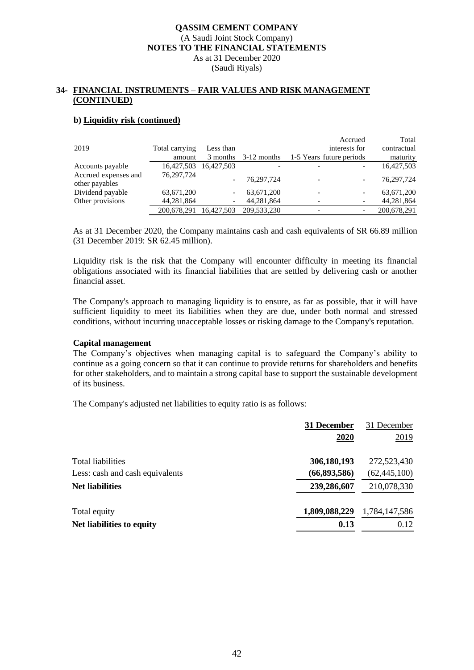# **34- FINANCIAL INSTRUMENTS – FAIR VALUES AND RISK MANAGEMENT (CONTINUED)**

# **b) Liquidity risk (continued)**

|                                        |                |            |                      |                          | Accrued       | Total       |
|----------------------------------------|----------------|------------|----------------------|--------------------------|---------------|-------------|
| 2019                                   | Total carrying | Less than  |                      |                          | interests for | contractual |
|                                        | amount         |            | 3 months 3-12 months | 1-5 Years future periods |               | maturity    |
| Accounts payable                       | 16,427,503     | 16.427.503 |                      |                          |               | 16,427,503  |
| Accrued expenses and<br>other payables | 76,297,724     |            | 76.297.724           |                          |               | 76,297,724  |
| Dividend payable                       | 63,671,200     |            | 63,671,200           |                          |               | 63.671.200  |
| Other provisions                       | 44,281,864     |            | 44,281,864           |                          |               | 44,281,864  |
|                                        | 200,678,291    | 16,427,503 | 209, 533, 230        |                          |               | 200,678,291 |

As at 31 December 2020, the Company maintains cash and cash equivalents of SR 66.89 million (31 December 2019: SR 62.45 million).

Liquidity risk is the risk that the Company will encounter difficulty in meeting its financial obligations associated with its financial liabilities that are settled by delivering cash or another financial asset.

The Company's approach to managing liquidity is to ensure, as far as possible, that it will have sufficient liquidity to meet its liabilities when they are due, under both normal and stressed conditions, without incurring unacceptable losses or risking damage to the Company's reputation.

# **Capital management**

The Company's objectives when managing capital is to safeguard the Company's ability to continue as a going concern so that it can continue to provide returns for shareholders and benefits for other stakeholders, and to maintain a strong capital base to support the sustainable development of its business.

The Company's adjusted net liabilities to equity ratio is as follows:

|                                 | 31 December   | 31 December    |
|---------------------------------|---------------|----------------|
|                                 | 2020          | 2019           |
| <b>Total liabilities</b>        | 306,180,193   | 272,523,430    |
| Less: cash and cash equivalents | (66,893,586)  | (62, 445, 100) |
| <b>Net liabilities</b>          | 239,286,607   | 210,078,330    |
| Total equity                    | 1,809,088,229 | 1,784,147,586  |
| Net liabilities to equity       | 0.13          | 0.12           |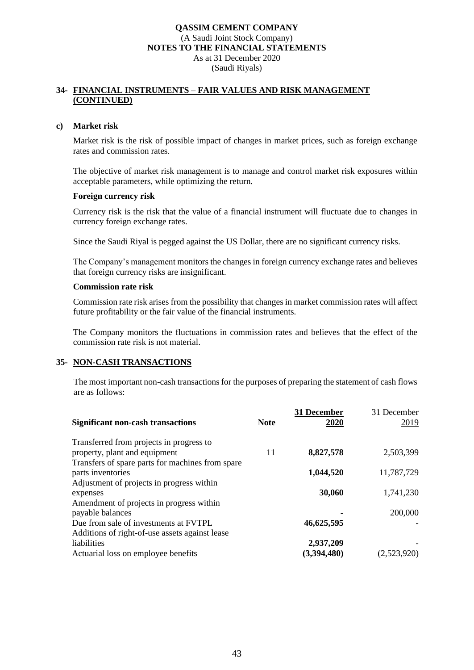# **34- FINANCIAL INSTRUMENTS – FAIR VALUES AND RISK MANAGEMENT (CONTINUED)**

#### **c) Market risk**

Market risk is the risk of possible impact of changes in market prices, such as foreign exchange rates and commission rates.

The objective of market risk management is to manage and control market risk exposures within acceptable parameters, while optimizing the return.

#### **Foreign currency risk**

Currency risk is the risk that the value of a financial instrument will fluctuate due to changes in currency foreign exchange rates.

Since the Saudi Riyal is pegged against the US Dollar, there are no significant currency risks.

The Company's management monitors the changes in foreign currency exchange rates and believes that foreign currency risks are insignificant.

#### **Commission rate risk**

Commission rate risk arises from the possibility that changes in market commission rates will affect future profitability or the fair value of the financial instruments.

The Company monitors the fluctuations in commission rates and believes that the effect of the commission rate risk is not material.

# **35- NON-CASH TRANSACTIONS**

The most important non-cash transactions for the purposes of preparing the statement of cash flows are as follows:

| <b>Significant non-cash transactions</b>         | <b>Note</b> | 31 December<br>2020 | 31 December<br>2019 |
|--------------------------------------------------|-------------|---------------------|---------------------|
| Transferred from projects in progress to         |             |                     |                     |
| property, plant and equipment                    | 11          | 8,827,578           | 2,503,399           |
| Transfers of spare parts for machines from spare |             |                     |                     |
| parts inventories                                |             | 1,044,520           | 11,787,729          |
| Adjustment of projects in progress within        |             |                     |                     |
| expenses                                         |             | 30,060              | 1,741,230           |
| Amendment of projects in progress within         |             |                     |                     |
| payable balances                                 |             |                     | 200,000             |
| Due from sale of investments at FVTPL            |             | 46,625,595          |                     |
| Additions of right-of-use assets against lease   |             |                     |                     |
| liabilities                                      |             | 2,937,209           |                     |
| Actuarial loss on employee benefits              |             | (3,394,480)         | (2,523,920)         |